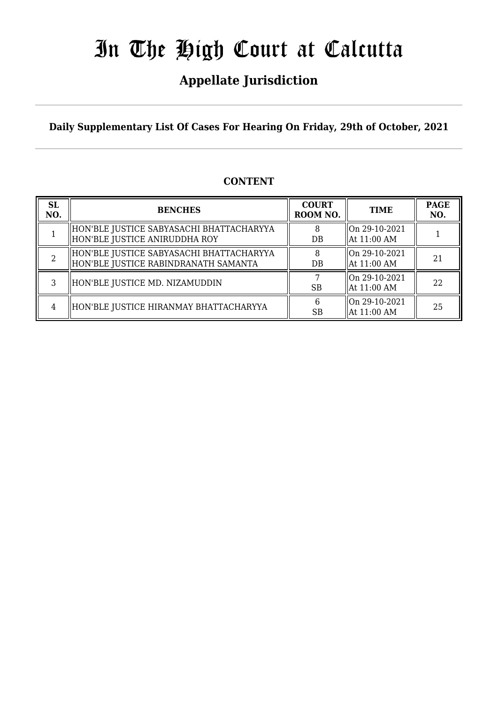# **Appellate Jurisdiction**

**Daily Supplementary List Of Cases For Hearing On Friday, 29th of October, 2021**

# **CONTENT**

| <b>SL</b><br>NO. | <b>BENCHES</b>                                                                   | <b>COURT</b><br>ROOM NO. | <b>TIME</b>                  | <b>PAGE</b><br>NO. |
|------------------|----------------------------------------------------------------------------------|--------------------------|------------------------------|--------------------|
|                  | HON'BLE JUSTICE SABYASACHI BHATTACHARYYA<br>HON'BLE JUSTICE ANIRUDDHA ROY        | DB                       | On 29-10-2021<br>At 11:00 AM |                    |
|                  | HON'BLE JUSTICE SABYASACHI BHATTACHARYYA<br>HON'BLE JUSTICE RABINDRANATH SAMANTA | DB                       | On 29-10-2021<br>At 11:00 AM | 21                 |
|                  | HON'BLE JUSTICE MD. NIZAMUDDIN                                                   | <b>SB</b>                | On 29-10-2021<br>At 11:00 AM | 22                 |
| 4                | HON'BLE JUSTICE HIRANMAY BHATTACHARYYA                                           | <b>SB</b>                | On 29-10-2021<br>At 11:00 AM | 25                 |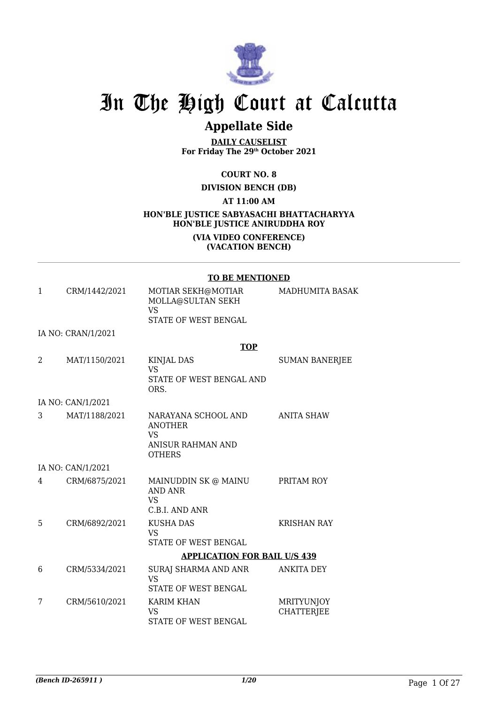

# **Appellate Side**

**DAILY CAUSELIST For Friday The 29th October 2021**

## **COURT NO. 8**

**DIVISION BENCH (DB)**

**AT 11:00 AM**

## **HON'BLE JUSTICE SABYASACHI BHATTACHARYYA HON'BLE JUSTICE ANIRUDDHA ROY (VIA VIDEO CONFERENCE)**

### **(VACATION BENCH)**

#### **TO BE MENTIONED**

| $\mathbf{1}$ | CRM/1442/2021      | MOTIAR SEKH@MOTIAR<br>MOLLA@SULTAN SEKH<br>VS.<br><b>STATE OF WEST BENGAL</b>                   | MADHUMITA BASAK                        |
|--------------|--------------------|-------------------------------------------------------------------------------------------------|----------------------------------------|
|              | IA NO: CRAN/1/2021 |                                                                                                 |                                        |
|              |                    | <b>TOP</b>                                                                                      |                                        |
| 2            | MAT/1150/2021      | <b>KINJAL DAS</b><br><b>VS</b><br>STATE OF WEST BENGAL AND<br>ORS.                              | <b>SUMAN BANERJEE</b>                  |
|              | IA NO: CAN/1/2021  |                                                                                                 |                                        |
| 3            | MAT/1188/2021      | NARAYANA SCHOOL AND<br><b>ANOTHER</b><br><b>VS</b><br><b>ANISUR RAHMAN AND</b><br><b>OTHERS</b> | <b>ANITA SHAW</b>                      |
|              | IA NO: CAN/1/2021  |                                                                                                 |                                        |
| 4            | CRM/6875/2021      | MAINUDDIN SK @ MAINU<br><b>AND ANR</b><br><b>VS</b><br>C.B.I. AND ANR                           | PRITAM ROY                             |
| 5            | CRM/6892/2021      | <b>KUSHA DAS</b><br><b>VS</b><br><b>STATE OF WEST BENGAL</b>                                    | <b>KRISHAN RAY</b>                     |
|              |                    | <b>APPLICATION FOR BAIL U/S 439</b>                                                             |                                        |
| 6            | CRM/5334/2021      | SURAJ SHARMA AND ANR<br><b>VS</b><br><b>STATE OF WEST BENGAL</b>                                | <b>ANKITA DEY</b>                      |
| 7            | CRM/5610/2021      | <b>KARIM KHAN</b><br>VS<br>STATE OF WEST BENGAL                                                 | <b>MRITYUNJOY</b><br><b>CHATTERJEE</b> |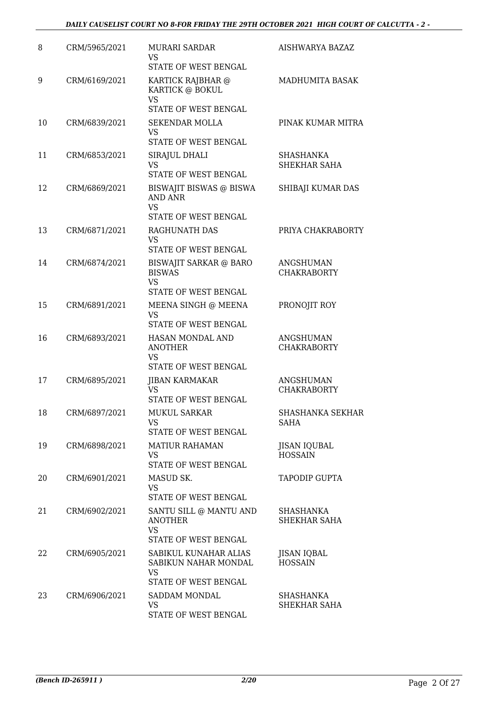| 8  | CRM/5965/2021 | <b>MURARI SARDAR</b><br>VS<br>STATE OF WEST BENGAL                            | AISHWARYA BAZAZ                        |
|----|---------------|-------------------------------------------------------------------------------|----------------------------------------|
| 9  | CRM/6169/2021 | KARTICK RAJBHAR @<br>KARTICK @ BOKUL<br><b>VS</b>                             | MADHUMITA BASAK                        |
|    |               | STATE OF WEST BENGAL                                                          |                                        |
| 10 | CRM/6839/2021 | <b>SEKENDAR MOLLA</b><br>VS                                                   | PINAK KUMAR MITRA                      |
|    |               | STATE OF WEST BENGAL                                                          |                                        |
| 11 | CRM/6853/2021 | SIRAJUL DHALI<br>VS<br>STATE OF WEST BENGAL                                   | <b>SHASHANKA</b><br>SHEKHAR SAHA       |
| 12 | CRM/6869/2021 | BISWAJIT BISWAS @ BISWA<br><b>AND ANR</b>                                     | SHIBAJI KUMAR DAS                      |
|    |               | <b>VS</b>                                                                     |                                        |
| 13 | CRM/6871/2021 | STATE OF WEST BENGAL<br>RAGHUNATH DAS                                         | PRIYA CHAKRABORTY                      |
|    |               | <b>VS</b>                                                                     |                                        |
|    |               | <b>STATE OF WEST BENGAL</b>                                                   |                                        |
| 14 | CRM/6874/2021 | <b>BISWAJIT SARKAR @ BARO</b><br><b>BISWAS</b>                                | ANGSHUMAN<br><b>CHAKRABORTY</b>        |
|    |               | <b>VS</b><br>STATE OF WEST BENGAL                                             |                                        |
| 15 | CRM/6891/2021 | MEENA SINGH @ MEENA<br>VS                                                     | PRONOJIT ROY                           |
|    |               | STATE OF WEST BENGAL                                                          |                                        |
| 16 | CRM/6893/2021 | HASAN MONDAL AND<br><b>ANOTHER</b><br><b>VS</b><br>STATE OF WEST BENGAL       | <b>ANGSHUMAN</b><br><b>CHAKRABORTY</b> |
| 17 | CRM/6895/2021 | <b>JIBAN KARMAKAR</b>                                                         | ANGSHUMAN                              |
|    |               | VS.<br>STATE OF WEST BENGAL                                                   | <b>CHAKRABORTY</b>                     |
| 18 | CRM/6897/2021 | <b>MUKUL SARKAR</b><br>VS                                                     | SHASHANKA SEKHAR<br>SAHA               |
|    |               | STATE OF WEST BENGAL                                                          |                                        |
| 19 | CRM/6898/2021 | <b>MATIUR RAHAMAN</b><br><b>VS</b><br>STATE OF WEST BENGAL                    | <b>JISAN IQUBAL</b><br><b>HOSSAIN</b>  |
| 20 | CRM/6901/2021 | MASUD SK.                                                                     | <b>TAPODIP GUPTA</b>                   |
|    |               | <b>VS</b><br>STATE OF WEST BENGAL                                             |                                        |
| 21 | CRM/6902/2021 | SANTU SILL @ MANTU AND<br><b>ANOTHER</b><br><b>VS</b><br>STATE OF WEST BENGAL | SHASHANKA<br>SHEKHAR SAHA              |
| 22 | CRM/6905/2021 | SABIKUL KUNAHAR ALIAS<br>SABIKUN NAHAR MONDAL<br><b>VS</b>                    | JISAN IQBAL<br><b>HOSSAIN</b>          |
|    |               | STATE OF WEST BENGAL                                                          |                                        |
| 23 | CRM/6906/2021 | SADDAM MONDAL<br>VS<br>STATE OF WEST BENGAL                                   | SHASHANKA<br>SHEKHAR SAHA              |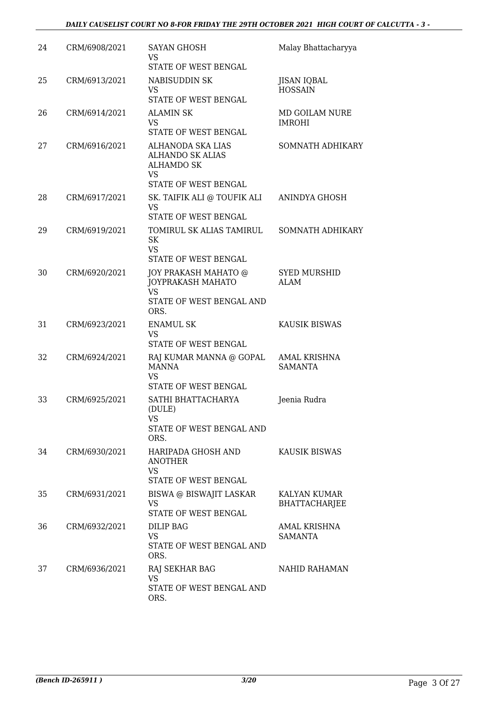| 24 | CRM/6908/2021 | <b>SAYAN GHOSH</b><br>VS<br><b>STATE OF WEST BENGAL</b>                                         | Malay Bhattacharyya                   |
|----|---------------|-------------------------------------------------------------------------------------------------|---------------------------------------|
| 25 | CRM/6913/2021 | NABISUDDIN SK<br>VS<br>STATE OF WEST BENGAL                                                     | <b>JISAN IQBAL</b><br><b>HOSSAIN</b>  |
| 26 | CRM/6914/2021 | <b>ALAMIN SK</b><br>VS.<br>STATE OF WEST BENGAL                                                 | MD GOILAM NURE<br><b>IMROHI</b>       |
| 27 | CRM/6916/2021 | ALHANODA SKA LIAS<br><b>ALHANDO SK ALIAS</b><br><b>ALHAMDO SK</b><br>VS<br>STATE OF WEST BENGAL | SOMNATH ADHIKARY                      |
| 28 | CRM/6917/2021 | SK. TAIFIK ALI @ TOUFIK ALI<br><b>VS</b><br>STATE OF WEST BENGAL                                | ANINDYA GHOSH                         |
| 29 | CRM/6919/2021 | TOMIRUL SK ALIAS TAMIRUL<br>SK<br><b>VS</b><br>STATE OF WEST BENGAL                             | SOMNATH ADHIKARY                      |
| 30 | CRM/6920/2021 | JOY PRAKASH MAHATO @<br>JOYPRAKASH MAHATO<br><b>VS</b><br>STATE OF WEST BENGAL AND<br>ORS.      | <b>SYED MURSHID</b><br><b>ALAM</b>    |
| 31 | CRM/6923/2021 | <b>ENAMUL SK</b><br>VS.<br>STATE OF WEST BENGAL                                                 | <b>KAUSIK BISWAS</b>                  |
| 32 | CRM/6924/2021 | RAJ KUMAR MANNA @ GOPAL<br><b>MANNA</b><br><b>VS</b><br>STATE OF WEST BENGAL                    | <b>AMAL KRISHNA</b><br><b>SAMANTA</b> |
| 33 | CRM/6925/2021 | SATHI BHATTACHARYA<br>(DULE)<br>VS<br>STATE OF WEST BENGAL AND<br>ORS.                          | Jeenia Rudra                          |
| 34 | CRM/6930/2021 | HARIPADA GHOSH AND<br><b>ANOTHER</b><br>VS<br>STATE OF WEST BENGAL                              | <b>KAUSIK BISWAS</b>                  |
| 35 | CRM/6931/2021 | BISWA @ BISWAJIT LASKAR<br>VS<br>STATE OF WEST BENGAL                                           | KALYAN KUMAR<br><b>BHATTACHARJEE</b>  |
| 36 | CRM/6932/2021 | DILIP BAG<br>VS<br>STATE OF WEST BENGAL AND<br>ORS.                                             | AMAL KRISHNA<br>SAMANTA               |
| 37 | CRM/6936/2021 | <b>RAJ SEKHAR BAG</b><br><b>VS</b><br>STATE OF WEST BENGAL AND<br>ORS.                          | NAHID RAHAMAN                         |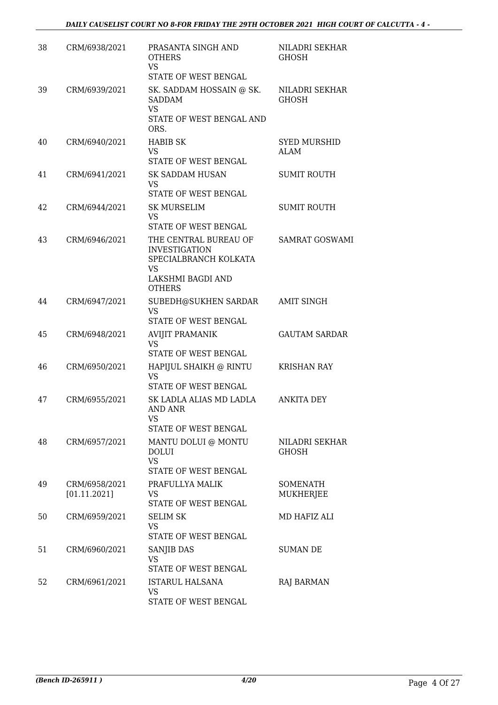| 38 | CRM/6938/2021                 | PRASANTA SINGH AND<br><b>OTHERS</b><br><b>VS</b><br>STATE OF WEST BENGAL                                           | NILADRI SEKHAR<br><b>GHOSH</b>        |
|----|-------------------------------|--------------------------------------------------------------------------------------------------------------------|---------------------------------------|
| 39 | CRM/6939/2021                 | SK. SADDAM HOSSAIN @ SK.<br><b>SADDAM</b><br><b>VS</b><br>STATE OF WEST BENGAL AND<br>ORS.                         | <b>NILADRI SEKHAR</b><br><b>GHOSH</b> |
| 40 | CRM/6940/2021                 | <b>HABIB SK</b><br>VS<br>STATE OF WEST BENGAL                                                                      | <b>SYED MURSHID</b><br>ALAM           |
| 41 | CRM/6941/2021                 | SK SADDAM HUSAN<br>VS.<br>STATE OF WEST BENGAL                                                                     | <b>SUMIT ROUTH</b>                    |
| 42 | CRM/6944/2021                 | SK MURSELIM<br>VS<br>STATE OF WEST BENGAL                                                                          | <b>SUMIT ROUTH</b>                    |
| 43 | CRM/6946/2021                 | THE CENTRAL BUREAU OF<br><b>INVESTIGATION</b><br>SPECIALBRANCH KOLKATA<br>VS<br>LAKSHMI BAGDI AND<br><b>OTHERS</b> | <b>SAMRAT GOSWAMI</b>                 |
| 44 | CRM/6947/2021                 | SUBEDH@SUKHEN SARDAR<br><b>VS</b><br>STATE OF WEST BENGAL                                                          | <b>AMIT SINGH</b>                     |
| 45 | CRM/6948/2021                 | <b>AVIJIT PRAMANIK</b><br><b>VS</b><br>STATE OF WEST BENGAL                                                        | <b>GAUTAM SARDAR</b>                  |
| 46 | CRM/6950/2021                 | HAPIJUL SHAIKH @ RINTU<br>VS<br>STATE OF WEST BENGAL                                                               | <b>KRISHAN RAY</b>                    |
| 47 | CRM/6955/2021                 | SK LADLA ALIAS MD LADLA<br>AND ANR<br><b>VS</b><br><b>STATE OF WEST BENGAL</b>                                     | <b>ANKITA DEY</b>                     |
| 48 | CRM/6957/2021                 | MANTU DOLUI @ MONTU<br><b>DOLUI</b><br><b>VS</b><br>STATE OF WEST BENGAL                                           | NILADRI SEKHAR<br><b>GHOSH</b>        |
| 49 | CRM/6958/2021<br>[01.11.2021] | PRAFULLYA MALIK<br>VS<br>STATE OF WEST BENGAL                                                                      | <b>SOMENATH</b><br>MUKHERJEE          |
| 50 | CRM/6959/2021                 | <b>SELIM SK</b><br>VS<br>STATE OF WEST BENGAL                                                                      | MD HAFIZ ALI                          |
| 51 | CRM/6960/2021                 | SANJIB DAS<br><b>VS</b><br>STATE OF WEST BENGAL                                                                    | <b>SUMAN DE</b>                       |
| 52 | CRM/6961/2021                 | <b>ISTARUL HALSANA</b><br>VS<br>STATE OF WEST BENGAL                                                               | <b>RAJ BARMAN</b>                     |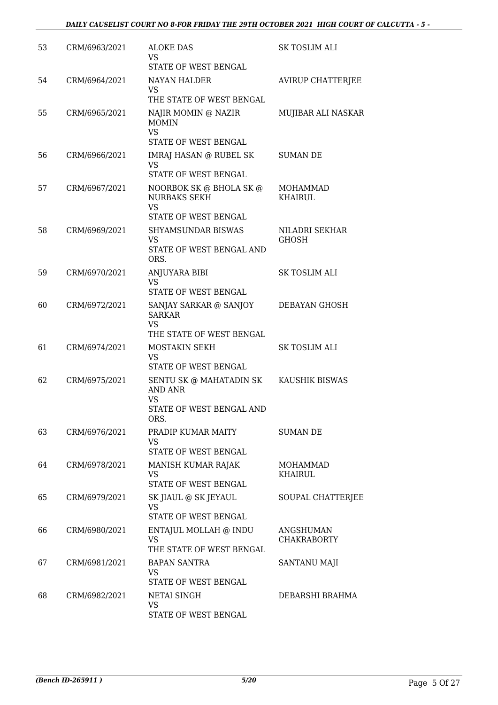| 53 | CRM/6963/2021 | <b>ALOKE DAS</b><br><b>VS</b>                                                    | SK TOSLIM ALI                   |
|----|---------------|----------------------------------------------------------------------------------|---------------------------------|
|    |               | STATE OF WEST BENGAL                                                             |                                 |
| 54 | CRM/6964/2021 | <b>NAYAN HALDER</b><br><b>VS</b><br>THE STATE OF WEST BENGAL                     | <b>AVIRUP CHATTERJEE</b>        |
| 55 | CRM/6965/2021 | NAJIR MOMIN @ NAZIR<br><b>MOMIN</b><br><b>VS</b>                                 | MUJIBAR ALI NASKAR              |
|    |               | STATE OF WEST BENGAL                                                             |                                 |
| 56 | CRM/6966/2021 | <b>IMRAJ HASAN @ RUBEL SK</b><br>VS<br>STATE OF WEST BENGAL                      | SUMAN DE                        |
| 57 | CRM/6967/2021 | NOORBOK SK @ BHOLA SK @<br><b>NURBAKS SEKH</b><br><b>VS</b>                      | MOHAMMAD<br><b>KHAIRUL</b>      |
|    |               | STATE OF WEST BENGAL                                                             |                                 |
| 58 | CRM/6969/2021 | <b>SHYAMSUNDAR BISWAS</b><br>VS<br>STATE OF WEST BENGAL AND<br>ORS.              | NILADRI SEKHAR<br>GHOSH         |
| 59 | CRM/6970/2021 | ANJUYARA BIBI                                                                    | <b>SK TOSLIM ALI</b>            |
|    |               | <b>VS</b><br>STATE OF WEST BENGAL                                                |                                 |
| 60 | CRM/6972/2021 | SANJAY SARKAR @ SANJOY<br><b>SARKAR</b><br><b>VS</b><br>THE STATE OF WEST BENGAL | DEBAYAN GHOSH                   |
| 61 | CRM/6974/2021 | MOSTAKIN SEKH<br>VS<br>STATE OF WEST BENGAL                                      | SK TOSLIM ALI                   |
| 62 | CRM/6975/2021 | SENTU SK @ MAHATADIN SK<br><b>AND ANR</b><br>VS<br>STATE OF WEST BENGAL AND      | KAUSHIK BISWAS                  |
|    |               | ORS.                                                                             |                                 |
| 63 | CRM/6976/2021 | PRADIP KUMAR MAITY<br>VS<br>STATE OF WEST BENGAL                                 | SUMAN DE                        |
| 64 | CRM/6978/2021 | MANISH KUMAR RAJAK<br>VS<br><b>STATE OF WEST BENGAL</b>                          | MOHAMMAD<br><b>KHAIRUL</b>      |
| 65 | CRM/6979/2021 | SK JIAUL @ SK JEYAUL<br><b>VS</b><br>STATE OF WEST BENGAL                        | SOUPAL CHATTERJEE               |
| 66 | CRM/6980/2021 | ENTAJUL MOLLAH @ INDU<br><b>VS</b><br>THE STATE OF WEST BENGAL                   | ANGSHUMAN<br><b>CHAKRABORTY</b> |
| 67 | CRM/6981/2021 | <b>BAPAN SANTRA</b><br>VS                                                        | SANTANU MAJI                    |
| 68 | CRM/6982/2021 | STATE OF WEST BENGAL<br>NETAI SINGH<br>VS<br>STATE OF WEST BENGAL                | DEBARSHI BRAHMA                 |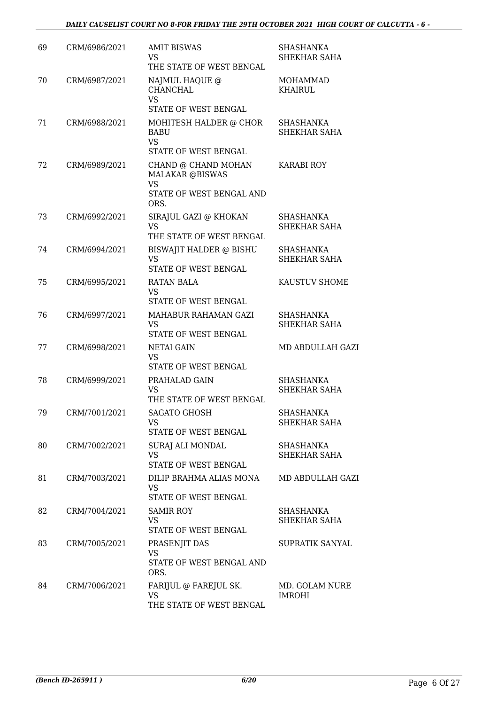| 69 | CRM/6986/2021 | <b>AMIT BISWAS</b><br>VS.<br>THE STATE OF WEST BENGAL                                  | <b>SHASHANKA</b><br><b>SHEKHAR SAHA</b> |
|----|---------------|----------------------------------------------------------------------------------------|-----------------------------------------|
| 70 | CRM/6987/2021 | NAJMUL HAQUE @<br><b>CHANCHAL</b><br><b>VS</b>                                         | <b>MOHAMMAD</b><br><b>KHAIRUL</b>       |
|    |               | STATE OF WEST BENGAL                                                                   |                                         |
| 71 | CRM/6988/2021 | MOHITESH HALDER @ CHOR<br><b>BABU</b><br><b>VS</b><br>STATE OF WEST BENGAL             | <b>SHASHANKA</b><br><b>SHEKHAR SAHA</b> |
| 72 | CRM/6989/2021 | CHAND @ CHAND MOHAN<br><b>MALAKAR @BISWAS</b><br><b>VS</b><br>STATE OF WEST BENGAL AND | <b>KARABI ROY</b>                       |
|    |               | ORS.                                                                                   |                                         |
| 73 | CRM/6992/2021 | SIRAJUL GAZI @ KHOKAN<br>VS<br>THE STATE OF WEST BENGAL                                | SHASHANKA<br>SHEKHAR SAHA               |
| 74 | CRM/6994/2021 | <b>BISWAJIT HALDER @ BISHU</b><br><b>VS</b><br>STATE OF WEST BENGAL                    | <b>SHASHANKA</b><br><b>SHEKHAR SAHA</b> |
| 75 | CRM/6995/2021 | <b>RATAN BALA</b><br><b>VS</b><br>STATE OF WEST BENGAL                                 | KAUSTUV SHOME                           |
| 76 | CRM/6997/2021 | MAHABUR RAHAMAN GAZI<br><b>VS</b><br>STATE OF WEST BENGAL                              | <b>SHASHANKA</b><br>SHEKHAR SAHA        |
| 77 | CRM/6998/2021 | NETAI GAIN<br><b>VS</b>                                                                | MD ABDULLAH GAZI                        |
| 78 | CRM/6999/2021 | STATE OF WEST BENGAL<br>PRAHALAD GAIN<br>VS.<br>THE STATE OF WEST BENGAL               | <b>SHASHANKA</b><br>SHEKHAR SAHA        |
| 79 | CRM/7001/2021 | SAGATO GHOSH<br>VS.<br>STATE OF WEST BENGAL                                            | SHASHANKA<br>SHEKHAR SAHA               |
| 80 | CRM/7002/2021 | SURAJ ALI MONDAL<br>VS.<br>STATE OF WEST BENGAL                                        | SHASHANKA<br>SHEKHAR SAHA               |
| 81 | CRM/7003/2021 | DILIP BRAHMA ALIAS MONA<br><b>VS</b><br>STATE OF WEST BENGAL                           | <b>MD ABDULLAH GAZI</b>                 |
| 82 | CRM/7004/2021 | SAMIR ROY<br>VS.<br>STATE OF WEST BENGAL                                               | SHASHANKA<br>SHEKHAR SAHA               |
| 83 | CRM/7005/2021 | PRASENJIT DAS<br>VS<br>STATE OF WEST BENGAL AND<br>ORS.                                | SUPRATIK SANYAL                         |
| 84 | CRM/7006/2021 | FARIJUL @ FAREJUL SK.<br>VS<br>THE STATE OF WEST BENGAL                                | MD. GOLAM NURE<br><b>IMROHI</b>         |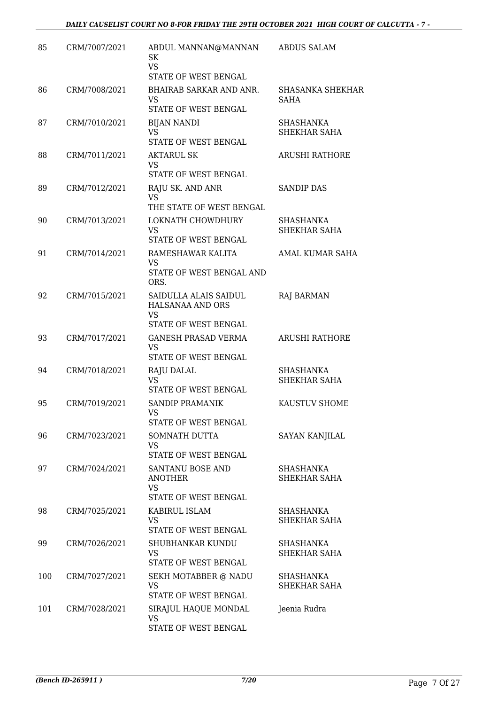| 85  | CRM/7007/2021 | ABDUL MANNAN@MANNAN<br>SK<br><b>VS</b><br>STATE OF WEST BENGAL                 | <b>ABDUS SALAM</b>               |
|-----|---------------|--------------------------------------------------------------------------------|----------------------------------|
| 86  | CRM/7008/2021 | BHAIRAB SARKAR AND ANR.<br>VS.<br>STATE OF WEST BENGAL                         | SHASANKA SHEKHAR<br><b>SAHA</b>  |
| 87  | CRM/7010/2021 | <b>BIJAN NANDI</b><br><b>VS</b><br>STATE OF WEST BENGAL                        | SHASHANKA<br>SHEKHAR SAHA        |
| 88  | CRM/7011/2021 | <b>AKTARUL SK</b><br><b>VS</b><br>STATE OF WEST BENGAL                         | <b>ARUSHI RATHORE</b>            |
| 89  | CRM/7012/2021 | RAJU SK. AND ANR<br>VS<br>THE STATE OF WEST BENGAL                             | <b>SANDIP DAS</b>                |
| 90  | CRM/7013/2021 | LOKNATH CHOWDHURY<br><b>VS</b><br>STATE OF WEST BENGAL                         | <b>SHASHANKA</b><br>SHEKHAR SAHA |
| 91  | CRM/7014/2021 | RAMESHAWAR KALITA<br>VS<br>STATE OF WEST BENGAL AND<br>ORS.                    | AMAL KUMAR SAHA                  |
| 92  | CRM/7015/2021 | SAIDULLA ALAIS SAIDUL<br>HALSANAA AND ORS<br><b>VS</b><br>STATE OF WEST BENGAL | <b>RAJ BARMAN</b>                |
| 93  | CRM/7017/2021 | <b>GANESH PRASAD VERMA</b><br>VS<br>STATE OF WEST BENGAL                       | <b>ARUSHI RATHORE</b>            |
| 94  | CRM/7018/2021 | RAJU DALAL<br><b>VS</b><br>STATE OF WEST BENGAL                                | <b>SHASHANKA</b><br>SHEKHAR SAHA |
| 95  | CRM/7019/2021 | <b>SANDIP PRAMANIK</b><br>VS<br>STATE OF WEST BENGAL                           | KAUSTUV SHOME                    |
| 96  | CRM/7023/2021 | SOMNATH DUTTA<br>VS<br>STATE OF WEST BENGAL                                    | SAYAN KANJILAL                   |
| 97  | CRM/7024/2021 | SANTANU BOSE AND<br><b>ANOTHER</b><br><b>VS</b><br>STATE OF WEST BENGAL        | SHASHANKA<br>SHEKHAR SAHA        |
| 98  | CRM/7025/2021 | KABIRUL ISLAM<br>VS.<br>STATE OF WEST BENGAL                                   | SHASHANKA<br>SHEKHAR SAHA        |
| 99  | CRM/7026/2021 | SHUBHANKAR KUNDU<br>VS<br>STATE OF WEST BENGAL                                 | SHASHANKA<br>SHEKHAR SAHA        |
| 100 | CRM/7027/2021 | SEKH MOTABBER @ NADU<br>VS.<br>STATE OF WEST BENGAL                            | SHASHANKA<br>SHEKHAR SAHA        |
| 101 | CRM/7028/2021 | SIRAJUL HAQUE MONDAL<br><b>VS</b><br>STATE OF WEST BENGAL                      | Jeenia Rudra                     |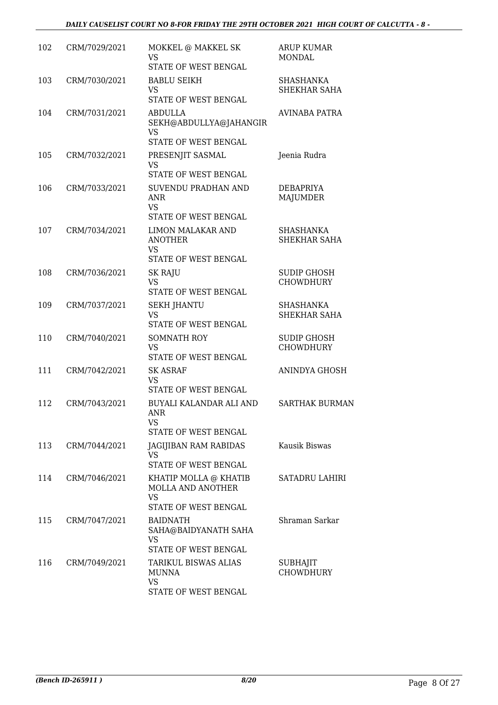| 102 | CRM/7029/2021 | MOKKEL @ MAKKEL SK<br><b>VS</b><br><b>STATE OF WEST BENGAL</b>                         | <b>ARUP KUMAR</b><br><b>MONDAL</b>      |
|-----|---------------|----------------------------------------------------------------------------------------|-----------------------------------------|
| 103 | CRM/7030/2021 | <b>BABLU SEIKH</b><br>VS<br>STATE OF WEST BENGAL                                       | <b>SHASHANKA</b><br>SHEKHAR SAHA        |
| 104 | CRM/7031/2021 | <b>ABDULLA</b><br>SEKH@ABDULLYA@JAHANGIR<br>VS<br>STATE OF WEST BENGAL                 | <b>AVINABA PATRA</b>                    |
| 105 | CRM/7032/2021 | PRESENJIT SASMAL<br><b>VS</b><br>STATE OF WEST BENGAL                                  | Jeenia Rudra                            |
| 106 | CRM/7033/2021 | SUVENDU PRADHAN AND<br><b>ANR</b><br><b>VS</b><br>STATE OF WEST BENGAL                 | <b>DEBAPRIYA</b><br><b>MAJUMDER</b>     |
| 107 | CRM/7034/2021 | <b>LIMON MALAKAR AND</b><br><b>ANOTHER</b><br>VS<br>STATE OF WEST BENGAL               | <b>SHASHANKA</b><br>SHEKHAR SAHA        |
| 108 | CRM/7036/2021 | <b>SK RAJU</b><br>VS<br>STATE OF WEST BENGAL                                           | <b>SUDIP GHOSH</b><br><b>CHOWDHURY</b>  |
| 109 | CRM/7037/2021 | <b>SEKH JHANTU</b><br><b>VS</b><br>STATE OF WEST BENGAL                                | <b>SHASHANKA</b><br><b>SHEKHAR SAHA</b> |
| 110 | CRM/7040/2021 | <b>SOMNATH ROY</b><br>VS<br>STATE OF WEST BENGAL                                       | <b>SUDIP GHOSH</b><br><b>CHOWDHURY</b>  |
| 111 | CRM/7042/2021 | <b>SK ASRAF</b><br>VS<br>STATE OF WEST BENGAL                                          | ANINDYA GHOSH                           |
| 112 | CRM/7043/2021 | BUYALI KALANDAR ALI AND<br>ANR<br>VS<br>STATE OF WEST BENGAL                           | <b>SARTHAK BURMAN</b>                   |
| 113 | CRM/7044/2021 | JAGIJIBAN RAM RABIDAS<br>VS.<br>STATE OF WEST BENGAL                                   | Kausik Biswas                           |
| 114 | CRM/7046/2021 | KHATIP MOLLA @ KHATIB<br><b>MOLLA AND ANOTHER</b><br>VS<br><b>STATE OF WEST BENGAL</b> | <b>SATADRU LAHIRI</b>                   |
| 115 | CRM/7047/2021 | <b>BAIDNATH</b><br>SAHA@BAIDYANATH SAHA<br>VS<br>STATE OF WEST BENGAL                  | Shraman Sarkar                          |
| 116 | CRM/7049/2021 | TARIKUL BISWAS ALIAS<br><b>MUNNA</b><br><b>VS</b><br>STATE OF WEST BENGAL              | SUBHAJIT<br><b>CHOWDHURY</b>            |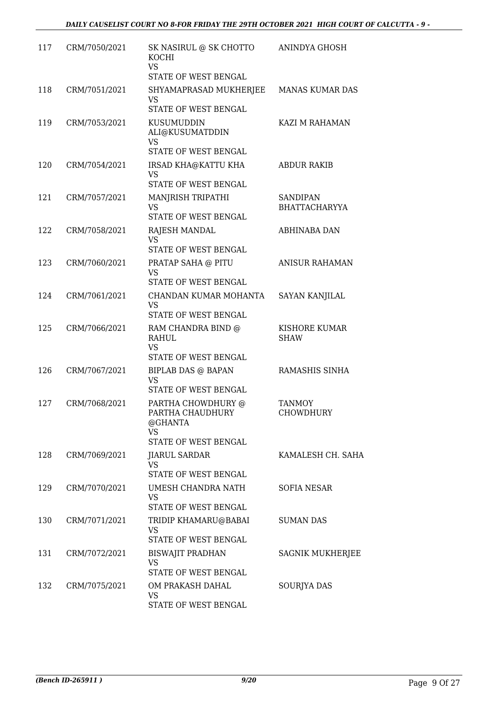| 117 | CRM/7050/2021 | SK NASIRUL @ SK CHOTTO<br><b>KOCHI</b><br><b>VS</b><br>STATE OF WEST BENGAL     | ANINDYA GHOSH                           |
|-----|---------------|---------------------------------------------------------------------------------|-----------------------------------------|
| 118 | CRM/7051/2021 | SHYAMAPRASAD MUKHERJEE<br>VS.<br>STATE OF WEST BENGAL                           | MANAS KUMAR DAS                         |
| 119 | CRM/7053/2021 | KUSUMUDDIN<br>ALI@KUSUMATDDIN<br>VS<br><b>STATE OF WEST BENGAL</b>              | KAZI M RAHAMAN                          |
| 120 | CRM/7054/2021 | IRSAD KHA@KATTU KHA<br><b>VS</b><br>STATE OF WEST BENGAL                        | <b>ABDUR RAKIB</b>                      |
| 121 | CRM/7057/2021 | MANJRISH TRIPATHI<br>VS<br>STATE OF WEST BENGAL                                 | <b>SANDIPAN</b><br><b>BHATTACHARYYA</b> |
| 122 | CRM/7058/2021 | RAJESH MANDAL<br><b>VS</b><br>STATE OF WEST BENGAL                              | ABHINABA DAN                            |
| 123 | CRM/7060/2021 | PRATAP SAHA @ PITU<br>VS<br><b>STATE OF WEST BENGAL</b>                         | <b>ANISUR RAHAMAN</b>                   |
| 124 | CRM/7061/2021 | CHANDAN KUMAR MOHANTA<br>VS.<br>STATE OF WEST BENGAL                            | <b>SAYAN KANJILAL</b>                   |
| 125 | CRM/7066/2021 | RAM CHANDRA BIND @<br>RAHUL<br><b>VS</b><br>STATE OF WEST BENGAL                | KISHORE KUMAR<br><b>SHAW</b>            |
| 126 | CRM/7067/2021 | <b>BIPLAB DAS @ BAPAN</b><br>VS.<br>STATE OF WEST BENGAL                        | RAMASHIS SINHA                          |
| 127 | CRM/7068/2021 | PARTHA CHOWDHURY @<br>PARTHA CHAUDHURY<br>@GHANTA<br>VS<br>STATE OF WEST BENGAL | <b>TANMOY</b><br>CHOWDHURY              |
| 128 | CRM/7069/2021 | <b>JIARUL SARDAR</b><br><b>VS</b><br>STATE OF WEST BENGAL                       | KAMALESH CH. SAHA                       |
| 129 | CRM/7070/2021 | UMESH CHANDRA NATH<br><b>VS</b><br>STATE OF WEST BENGAL                         | <b>SOFIA NESAR</b>                      |
| 130 | CRM/7071/2021 | TRIDIP KHAMARU@BABAI<br><b>VS</b><br>STATE OF WEST BENGAL                       | <b>SUMAN DAS</b>                        |
| 131 | CRM/7072/2021 | <b>BISWAJIT PRADHAN</b><br>VS<br>STATE OF WEST BENGAL                           | <b>SAGNIK MUKHERJEE</b>                 |
| 132 | CRM/7075/2021 | OM PRAKASH DAHAL<br>VS<br>STATE OF WEST BENGAL                                  | <b>SOURJYA DAS</b>                      |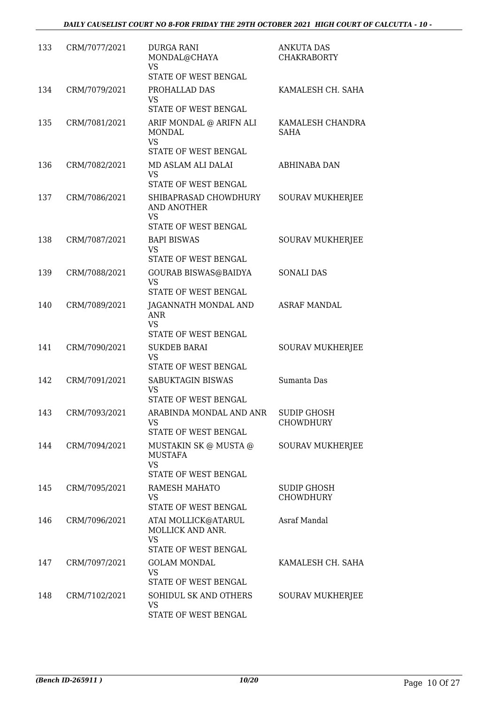| 133 | CRM/7077/2021 | <b>DURGA RANI</b><br>MONDAL@CHAYA<br>VS<br>STATE OF WEST BENGAL               | <b>ANKUTA DAS</b><br><b>CHAKRABORTY</b> |
|-----|---------------|-------------------------------------------------------------------------------|-----------------------------------------|
| 134 | CRM/7079/2021 | PROHALLAD DAS<br>VS.<br>STATE OF WEST BENGAL                                  | KAMALESH CH. SAHA                       |
| 135 | CRM/7081/2021 | ARIF MONDAL @ ARIFN ALI<br><b>MONDAL</b><br><b>VS</b><br>STATE OF WEST BENGAL | KAMALESH CHANDRA<br><b>SAHA</b>         |
| 136 | CRM/7082/2021 | MD ASLAM ALI DALAI<br>VS<br>STATE OF WEST BENGAL                              | ABHINABA DAN                            |
| 137 | CRM/7086/2021 | SHIBAPRASAD CHOWDHURY<br>AND ANOTHER<br><b>VS</b><br>STATE OF WEST BENGAL     | <b>SOURAV MUKHERJEE</b>                 |
| 138 | CRM/7087/2021 | <b>BAPI BISWAS</b><br>VS<br>STATE OF WEST BENGAL                              | <b>SOURAV MUKHERJEE</b>                 |
| 139 | CRM/7088/2021 | <b>GOURAB BISWAS@BAIDYA</b><br><b>VS</b><br>STATE OF WEST BENGAL              | <b>SONALI DAS</b>                       |
| 140 | CRM/7089/2021 | JAGANNATH MONDAL AND<br><b>ANR</b><br><b>VS</b><br>STATE OF WEST BENGAL       | <b>ASRAF MANDAL</b>                     |
| 141 | CRM/7090/2021 | <b>SUKDEB BARAI</b><br>VS<br>STATE OF WEST BENGAL                             | <b>SOURAV MUKHERJEE</b>                 |
| 142 | CRM/7091/2021 | SABUKTAGIN BISWAS<br><b>VS</b><br><b>STATE OF WEST BENGAL</b>                 | Sumanta Das                             |
| 143 | CRM/7093/2021 | ARABINDA MONDAL AND ANR<br>VS<br>STATE OF WEST BENGAL                         | <b>SUDIP GHOSH</b><br><b>CHOWDHURY</b>  |
| 144 | CRM/7094/2021 | MUSTAKIN SK @ MUSTA @<br>MUSTAFA<br><b>VS</b><br>STATE OF WEST BENGAL         | <b>SOURAV MUKHERJEE</b>                 |
| 145 | CRM/7095/2021 | RAMESH MAHATO<br>VS<br>STATE OF WEST BENGAL                                   | <b>SUDIP GHOSH</b><br><b>CHOWDHURY</b>  |
| 146 | CRM/7096/2021 | ATAI MOLLICK@ATARUL<br>MOLLICK AND ANR.<br><b>VS</b><br>STATE OF WEST BENGAL  | Asraf Mandal                            |
| 147 | CRM/7097/2021 | <b>GOLAM MONDAL</b><br><b>VS</b><br>STATE OF WEST BENGAL                      | KAMALESH CH. SAHA                       |
| 148 | CRM/7102/2021 | SOHIDUL SK AND OTHERS<br><b>VS</b><br>STATE OF WEST BENGAL                    | SOURAV MUKHERJEE                        |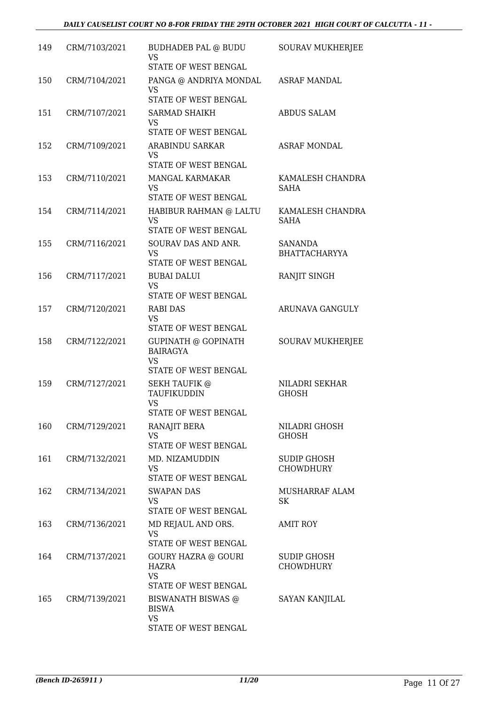| 149 | CRM/7103/2021 | BUDHADEB PAL @ BUDU<br>VS<br>STATE OF WEST BENGAL                        | SOURAV MUKHERJEE                       |
|-----|---------------|--------------------------------------------------------------------------|----------------------------------------|
| 150 | CRM/7104/2021 | PANGA @ ANDRIYA MONDAL<br>VS                                             | <b>ASRAF MANDAL</b>                    |
|     |               | STATE OF WEST BENGAL                                                     |                                        |
| 151 | CRM/7107/2021 | <b>SARMAD SHAIKH</b><br>VS                                               | <b>ABDUS SALAM</b>                     |
|     |               | STATE OF WEST BENGAL                                                     |                                        |
| 152 | CRM/7109/2021 | <b>ARABINDU SARKAR</b><br>VS<br>STATE OF WEST BENGAL                     | <b>ASRAF MONDAL</b>                    |
| 153 | CRM/7110/2021 | <b>MANGAL KARMAKAR</b>                                                   | KAMALESH CHANDRA                       |
|     |               | VS                                                                       | SAHA                                   |
|     |               | STATE OF WEST BENGAL                                                     |                                        |
| 154 | CRM/7114/2021 | HABIBUR RAHMAN @ LALTU<br>VS<br>STATE OF WEST BENGAL                     | KAMALESH CHANDRA<br><b>SAHA</b>        |
| 155 | CRM/7116/2021 | SOURAV DAS AND ANR.                                                      | <b>SANANDA</b>                         |
|     |               | <b>VS</b><br>STATE OF WEST BENGAL                                        | <b>BHATTACHARYYA</b>                   |
| 156 | CRM/7117/2021 | <b>BUBAI DALUI</b>                                                       | RANJIT SINGH                           |
|     |               | VS<br>STATE OF WEST BENGAL                                               |                                        |
|     |               |                                                                          |                                        |
| 157 | CRM/7120/2021 | <b>RABI DAS</b><br>VS<br>STATE OF WEST BENGAL                            | <b>ARUNAVA GANGULY</b>                 |
| 158 | CRM/7122/2021 | GUPINATH @ GOPINATH<br><b>BAIRAGYA</b>                                   | <b>SOURAV MUKHERJEE</b>                |
|     |               | <b>VS</b><br>STATE OF WEST BENGAL                                        |                                        |
| 159 | CRM/7127/2021 | <b>SEKH TAUFIK @</b>                                                     | <b>NILADRI SEKHAR</b>                  |
|     |               | TAUFIKUDDIN<br><b>VS</b>                                                 | <b>GHOSH</b>                           |
|     |               | STATE OF WEST BENGAL                                                     |                                        |
| 160 | CRM/7129/2021 | RANAJIT BERA<br><b>VS</b><br>STATE OF WEST BENGAL                        | NILADRI GHOSH<br>GHOSH                 |
| 161 | CRM/7132/2021 | MD. NIZAMUDDIN                                                           | <b>SUDIP GHOSH</b>                     |
|     |               | VS.                                                                      | <b>CHOWDHURY</b>                       |
|     |               | STATE OF WEST BENGAL                                                     |                                        |
| 162 | CRM/7134/2021 | <b>SWAPAN DAS</b><br>VS                                                  | MUSHARRAF ALAM<br>SK                   |
|     |               | STATE OF WEST BENGAL                                                     |                                        |
| 163 | CRM/7136/2021 | MD REJAUL AND ORS.<br>VS                                                 | AMIT ROY                               |
|     |               | STATE OF WEST BENGAL                                                     |                                        |
| 164 | CRM/7137/2021 | <b>GOURY HAZRA @ GOURI</b><br>HAZRA<br><b>VS</b><br>STATE OF WEST BENGAL | <b>SUDIP GHOSH</b><br><b>CHOWDHURY</b> |
| 165 | CRM/7139/2021 | <b>BISWANATH BISWAS @</b><br><b>BISWA</b><br>VS<br>STATE OF WEST BENGAL  | <b>SAYAN KANJILAL</b>                  |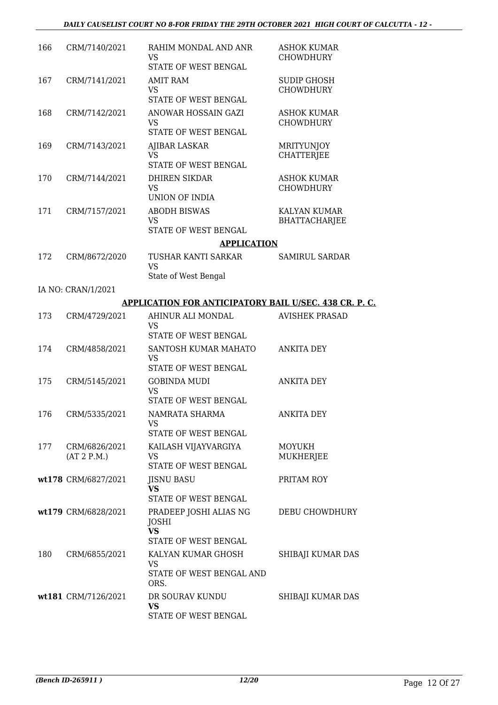| 166 | CRM/7140/2021                | RAHIM MONDAL AND ANR<br><b>VS</b><br>STATE OF WEST BENGAL                   | <b>ASHOK KUMAR</b><br><b>CHOWDHURY</b> |
|-----|------------------------------|-----------------------------------------------------------------------------|----------------------------------------|
| 167 | CRM/7141/2021                | <b>AMIT RAM</b><br>VS.<br>STATE OF WEST BENGAL                              | <b>SUDIP GHOSH</b><br><b>CHOWDHURY</b> |
| 168 | CRM/7142/2021                | ANOWAR HOSSAIN GAZI<br><b>VS</b><br>STATE OF WEST BENGAL                    | <b>ASHOK KUMAR</b><br><b>CHOWDHURY</b> |
| 169 | CRM/7143/2021                | AJIBAR LASKAR<br><b>VS</b><br>STATE OF WEST BENGAL                          | MRITYUNJOY<br><b>CHATTERIEE</b>        |
| 170 | CRM/7144/2021                | <b>DHIREN SIKDAR</b><br><b>VS</b><br>UNION OF INDIA                         | <b>ASHOK KUMAR</b><br><b>CHOWDHURY</b> |
| 171 | CRM/7157/2021                | <b>ABODH BISWAS</b><br><b>VS</b><br>STATE OF WEST BENGAL                    | KALYAN KUMAR<br><b>BHATTACHARJEE</b>   |
|     |                              | <b>APPLICATION</b>                                                          |                                        |
| 172 | CRM/8672/2020                | TUSHAR KANTI SARKAR<br><b>VS</b><br>State of West Bengal                    | <b>SAMIRUL SARDAR</b>                  |
|     | IA NO: CRAN/1/2021           |                                                                             |                                        |
|     |                              | <b>APPLICATION FOR ANTICIPATORY BAIL U/SEC. 438 CR. P. C.</b>               |                                        |
| 173 | CRM/4729/2021                | AHINUR ALI MONDAL<br>VS<br>STATE OF WEST BENGAL                             | <b>AVISHEK PRASAD</b>                  |
| 174 | CRM/4858/2021                | SANTOSH KUMAR MAHATO<br><b>VS</b><br>STATE OF WEST BENGAL                   | <b>ANKITA DEY</b>                      |
| 175 | CRM/5145/2021                | <b>GOBINDA MUDI</b><br><b>VS</b><br>STATE OF WEST BENGAL                    | <b>ANKITA DEY</b>                      |
| 176 | CRM/5335/2021                | NAMRATA SHARMA<br>VS<br>STATE OF WEST BENGAL                                | <b>ANKITA DEY</b>                      |
| 177 | CRM/6826/2021<br>(AT 2 P.M.) | KAILASH VIJAYVARGIYA<br><b>VS</b><br>STATE OF WEST BENGAL                   | <b>MOYUKH</b><br><b>MUKHERJEE</b>      |
|     | wt178 CRM/6827/2021          | <b>JISNU BASU</b><br><b>VS</b><br>STATE OF WEST BENGAL                      | PRITAM ROY                             |
|     | wt179 CRM/6828/2021          | PRADEEP JOSHI ALIAS NG<br><b>JOSHI</b><br><b>VS</b><br>STATE OF WEST BENGAL | DEBU CHOWDHURY                         |
| 180 | CRM/6855/2021                | KALYAN KUMAR GHOSH<br><b>VS</b><br>STATE OF WEST BENGAL AND<br>ORS.         | SHIBAJI KUMAR DAS                      |
|     | wt181 CRM/7126/2021          | DR SOURAV KUNDU<br><b>VS</b><br>STATE OF WEST BENGAL                        | SHIBAJI KUMAR DAS                      |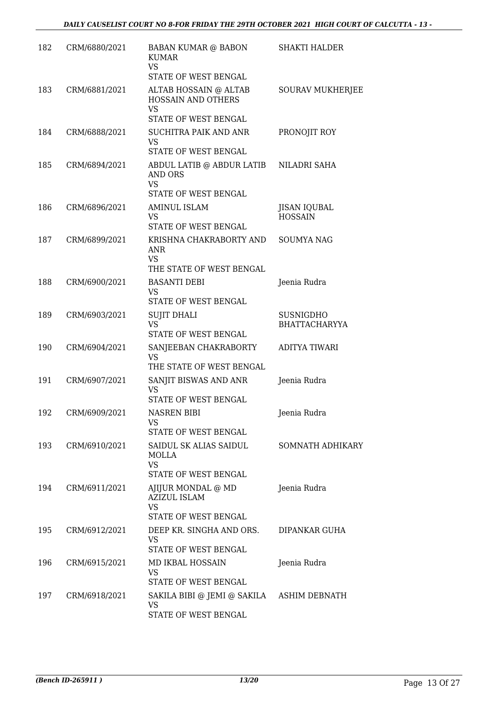| 182 | CRM/6880/2021 | <b>BABAN KUMAR @ BABON</b><br><b>KUMAR</b><br><b>VS</b><br>STATE OF WEST BENGAL    | <b>SHAKTI HALDER</b>                     |
|-----|---------------|------------------------------------------------------------------------------------|------------------------------------------|
| 183 | CRM/6881/2021 | ALTAB HOSSAIN @ ALTAB<br><b>HOSSAIN AND OTHERS</b><br><b>VS</b>                    | <b>SOURAV MUKHERJEE</b>                  |
| 184 | CRM/6888/2021 | STATE OF WEST BENGAL<br><b>SUCHITRA PAIK AND ANR</b><br>VS<br>STATE OF WEST BENGAL | PRONOJIT ROY                             |
| 185 | CRM/6894/2021 | ABDUL LATIB @ ABDUR LATIB<br>AND ORS<br><b>VS</b>                                  | NILADRI SAHA                             |
| 186 | CRM/6896/2021 | STATE OF WEST BENGAL<br><b>AMINUL ISLAM</b><br>VS<br>STATE OF WEST BENGAL          | JISAN IQUBAL<br><b>HOSSAIN</b>           |
| 187 | CRM/6899/2021 | KRISHNA CHAKRABORTY AND<br>ANR<br><b>VS</b>                                        | <b>SOUMYA NAG</b>                        |
| 188 | CRM/6900/2021 | THE STATE OF WEST BENGAL<br><b>BASANTI DEBI</b><br>VS<br>STATE OF WEST BENGAL      | Jeenia Rudra                             |
| 189 | CRM/6903/2021 | <b>SUJIT DHALI</b><br><b>VS</b><br>STATE OF WEST BENGAL                            | <b>SUSNIGDHO</b><br><b>BHATTACHARYYA</b> |
| 190 | CRM/6904/2021 | SANJEEBAN CHAKRABORTY<br>VS<br>THE STATE OF WEST BENGAL                            | <b>ADITYA TIWARI</b>                     |
| 191 | CRM/6907/2021 | SANJIT BISWAS AND ANR<br><b>VS</b><br>STATE OF WEST BENGAL                         | Jeenia Rudra                             |
| 192 | CRM/6909/2021 | NASREN BIBI<br>VS<br>STATE OF WEST BENGAL                                          | Jeenia Rudra                             |
| 193 | CRM/6910/2021 | SAIDUL SK ALIAS SAIDUL<br>MOLLA<br>VS<br>STATE OF WEST BENGAL                      | <b>SOMNATH ADHIKARY</b>                  |
| 194 | CRM/6911/2021 | AJIJUR MONDAL @ MD<br><b>AZIZUL ISLAM</b><br><b>VS</b><br>STATE OF WEST BENGAL     | Jeenia Rudra                             |
| 195 | CRM/6912/2021 | DEEP KR. SINGHA AND ORS.<br>VS.<br>STATE OF WEST BENGAL                            | DIPANKAR GUHA                            |
| 196 | CRM/6915/2021 | MD IKBAL HOSSAIN<br>VS.<br>STATE OF WEST BENGAL                                    | Jeenia Rudra                             |
| 197 | CRM/6918/2021 | SAKILA BIBI @ JEMI @ SAKILA ASHIM DEBNATH<br>VS<br>STATE OF WEST BENGAL            |                                          |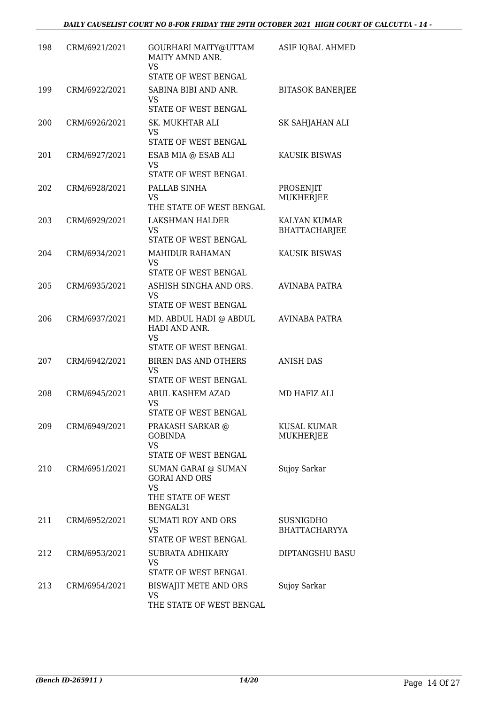| 198 | CRM/6921/2021 | GOURHARI MAITY@UTTAM<br>MAITY AMND ANR.<br><b>VS</b><br>STATE OF WEST BENGAL              | ASIF IQBAL AHMED                         |
|-----|---------------|-------------------------------------------------------------------------------------------|------------------------------------------|
| 199 | CRM/6922/2021 | SABINA BIBI AND ANR.<br>VS                                                                | <b>BITASOK BANERJEE</b>                  |
| 200 | CRM/6926/2021 | STATE OF WEST BENGAL<br>SK. MUKHTAR ALI<br><b>VS</b>                                      | SK SAHJAHAN ALI                          |
| 201 | CRM/6927/2021 | <b>STATE OF WEST BENGAL</b><br>ESAB MIA @ ESAB ALI<br><b>VS</b><br>STATE OF WEST BENGAL   | <b>KAUSIK BISWAS</b>                     |
| 202 | CRM/6928/2021 | PALLAB SINHA<br><b>VS</b><br>THE STATE OF WEST BENGAL                                     | PROSENJIT<br><b>MUKHERJEE</b>            |
| 203 | CRM/6929/2021 | LAKSHMAN HALDER<br>VS<br>STATE OF WEST BENGAL                                             | KALYAN KUMAR<br><b>BHATTACHARJEE</b>     |
| 204 | CRM/6934/2021 | <b>MAHIDUR RAHAMAN</b><br><b>VS</b><br>STATE OF WEST BENGAL                               | KAUSIK BISWAS                            |
| 205 | CRM/6935/2021 | ASHISH SINGHA AND ORS.<br><b>VS</b><br>STATE OF WEST BENGAL                               | <b>AVINABA PATRA</b>                     |
| 206 | CRM/6937/2021 | MD. ABDUL HADI @ ABDUL<br>HADI AND ANR.<br><b>VS</b>                                      | <b>AVINABA PATRA</b>                     |
| 207 | CRM/6942/2021 | STATE OF WEST BENGAL<br>BIREN DAS AND OTHERS<br><b>VS</b><br>STATE OF WEST BENGAL         | <b>ANISH DAS</b>                         |
| 208 | CRM/6945/2021 | ABUL KASHEM AZAD<br><b>VS</b><br>STATE OF WEST BENGAL                                     | MD HAFIZ ALI                             |
| 209 | CRM/6949/2021 | PRAKASH SARKAR @<br><b>GOBINDA</b><br><b>VS</b><br>STATE OF WEST BENGAL                   | <b>KUSAL KUMAR</b><br>MUKHERJEE          |
| 210 | CRM/6951/2021 | SUMAN GARAI @ SUMAN<br><b>GORAI AND ORS</b><br><b>VS</b><br>THE STATE OF WEST<br>BENGAL31 | Sujoy Sarkar                             |
| 211 | CRM/6952/2021 | <b>SUMATI ROY AND ORS</b><br><b>VS</b><br>STATE OF WEST BENGAL                            | <b>SUSNIGDHO</b><br><b>BHATTACHARYYA</b> |
| 212 | CRM/6953/2021 | SUBRATA ADHIKARY<br><b>VS</b><br>STATE OF WEST BENGAL                                     | DIPTANGSHU BASU                          |
| 213 | CRM/6954/2021 | BISWAJIT METE AND ORS<br>VS<br>THE STATE OF WEST BENGAL                                   | Sujoy Sarkar                             |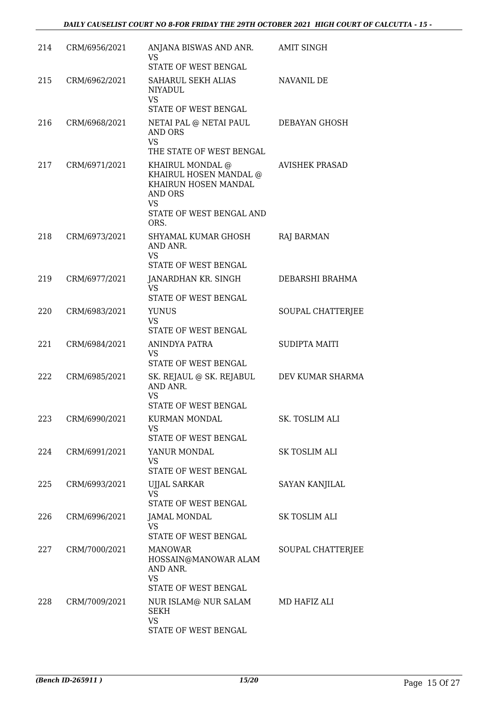| 214 | CRM/6956/2021 | ANJANA BISWAS AND ANR.<br><b>VS</b><br>STATE OF WEST BENGAL                                                              | <b>AMIT SINGH</b>     |
|-----|---------------|--------------------------------------------------------------------------------------------------------------------------|-----------------------|
| 215 | CRM/6962/2021 | SAHARUL SEKH ALIAS<br><b>NIYADUL</b><br><b>VS</b>                                                                        | NAVANIL DE            |
|     |               | STATE OF WEST BENGAL                                                                                                     |                       |
| 216 | CRM/6968/2021 | NETAI PAL @ NETAI PAUL<br>AND ORS<br><b>VS</b><br>THE STATE OF WEST BENGAL                                               | DEBAYAN GHOSH         |
| 217 | CRM/6971/2021 | KHAIRUL MONDAL @<br>KHAIRUL HOSEN MANDAL @<br>KHAIRUN HOSEN MANDAL<br>AND ORS<br>VS.<br>STATE OF WEST BENGAL AND<br>ORS. | <b>AVISHEK PRASAD</b> |
| 218 | CRM/6973/2021 | SHYAMAL KUMAR GHOSH<br>AND ANR.<br><b>VS</b><br>STATE OF WEST BENGAL                                                     | <b>RAJ BARMAN</b>     |
| 219 | CRM/6977/2021 | JANARDHAN KR. SINGH<br>VS<br>STATE OF WEST BENGAL                                                                        | DEBARSHI BRAHMA       |
| 220 | CRM/6983/2021 | <b>YUNUS</b><br><b>VS</b><br>STATE OF WEST BENGAL                                                                        | SOUPAL CHATTERJEE     |
| 221 | CRM/6984/2021 | ANINDYA PATRA<br><b>VS</b><br>STATE OF WEST BENGAL                                                                       | <b>SUDIPTA MAITI</b>  |
| 222 | CRM/6985/2021 | SK. REJAUL @ SK. REJABUL<br>AND ANR.<br><b>VS</b>                                                                        | DEV KUMAR SHARMA      |
|     |               | STATE OF WEST BENGAL                                                                                                     |                       |
| 223 | CRM/6990/2021 | <b>KURMAN MONDAL</b><br>VS<br>STATE OF WEST BENGAL                                                                       | SK. TOSLIM ALI        |
| 224 | CRM/6991/2021 | YANUR MONDAL<br><b>VS</b><br>STATE OF WEST BENGAL                                                                        | SK TOSLIM ALI         |
| 225 | CRM/6993/2021 | <b>UJJAL SARKAR</b><br><b>VS</b><br>STATE OF WEST BENGAL                                                                 | <b>SAYAN KANJILAL</b> |
| 226 | CRM/6996/2021 | JAMAL MONDAL<br><b>VS</b><br>STATE OF WEST BENGAL                                                                        | SK TOSLIM ALI         |
| 227 | CRM/7000/2021 | <b>MANOWAR</b><br>HOSSAIN@MANOWAR ALAM<br>AND ANR.<br>VS<br>STATE OF WEST BENGAL                                         | SOUPAL CHATTERJEE     |
| 228 | CRM/7009/2021 | NUR ISLAM@ NUR SALAM<br><b>SEKH</b><br><b>VS</b><br>STATE OF WEST BENGAL                                                 | MD HAFIZ ALI          |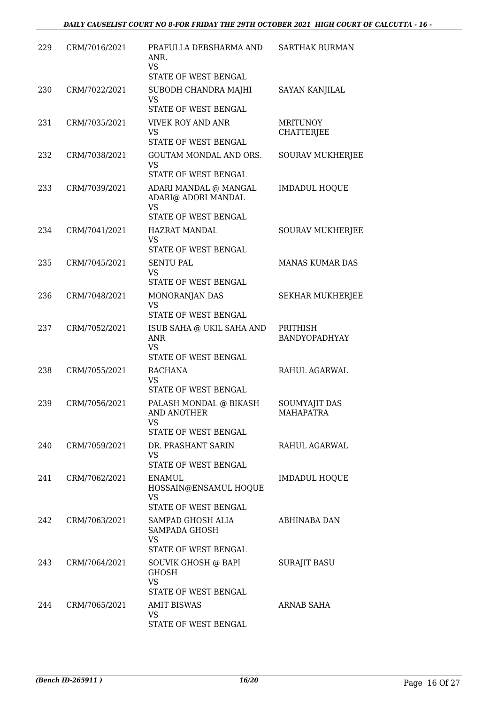| 229 | CRM/7016/2021 | PRAFULLA DEBSHARMA AND<br>ANR.<br><b>VS</b><br>STATE OF WEST BENGAL                          | <b>SARTHAK BURMAN</b>                |
|-----|---------------|----------------------------------------------------------------------------------------------|--------------------------------------|
| 230 | CRM/7022/2021 | SUBODH CHANDRA MAJHI<br>VS.                                                                  | <b>SAYAN KANJILAL</b>                |
| 231 | CRM/7035/2021 | STATE OF WEST BENGAL<br><b>VIVEK ROY AND ANR</b><br><b>VS</b><br><b>STATE OF WEST BENGAL</b> | <b>MRITUNOY</b><br><b>CHATTERJEE</b> |
| 232 | CRM/7038/2021 | GOUTAM MONDAL AND ORS.<br><b>VS</b><br>STATE OF WEST BENGAL                                  | <b>SOURAV MUKHERJEE</b>              |
| 233 | CRM/7039/2021 | ADARI MANDAL @ MANGAL<br>ADARI@ ADORI MANDAL<br><b>VS</b><br>STATE OF WEST BENGAL            | <b>IMDADUL HOQUE</b>                 |
| 234 | CRM/7041/2021 | <b>HAZRAT MANDAL</b><br>VS.<br>STATE OF WEST BENGAL                                          | <b>SOURAV MUKHERJEE</b>              |
| 235 | CRM/7045/2021 | <b>SENTU PAL</b><br>VS<br>STATE OF WEST BENGAL                                               | <b>MANAS KUMAR DAS</b>               |
| 236 | CRM/7048/2021 | MONORANJAN DAS<br><b>VS</b><br>STATE OF WEST BENGAL                                          | <b>SEKHAR MUKHERJEE</b>              |
| 237 | CRM/7052/2021 | ISUB SAHA @ UKIL SAHA AND<br><b>ANR</b><br><b>VS</b><br>STATE OF WEST BENGAL                 | PRITHISH<br>BANDYOPADHYAY            |
| 238 | CRM/7055/2021 | <b>RACHANA</b><br><b>VS</b><br>STATE OF WEST BENGAL                                          | RAHUL AGARWAL                        |
| 239 | CRM/7056/2021 | PALASH MONDAL @ BIKASH<br><b>AND ANOTHER</b><br>VS<br>STATE OF WEST BENGAL                   | <b>SOUMYAJIT DAS</b><br>MAHAPATRA    |
| 240 | CRM/7059/2021 | DR. PRASHANT SARIN<br>VS<br>STATE OF WEST BENGAL                                             | RAHUL AGARWAL                        |
| 241 | CRM/7062/2021 | <b>ENAMUL</b><br>HOSSAIN@ENSAMUL HOQUE<br>VS<br>STATE OF WEST BENGAL                         | <b>IMDADUL HOQUE</b>                 |
| 242 | CRM/7063/2021 | SAMPAD GHOSH ALIA<br>SAMPADA GHOSH<br><b>VS</b><br>STATE OF WEST BENGAL                      | ABHINABA DAN                         |
| 243 | CRM/7064/2021 | SOUVIK GHOSH @ BAPI<br><b>GHOSH</b><br><b>VS</b><br>STATE OF WEST BENGAL                     | <b>SURAJIT BASU</b>                  |
| 244 | CRM/7065/2021 | <b>AMIT BISWAS</b><br>VS.<br>STATE OF WEST BENGAL                                            | ARNAB SAHA                           |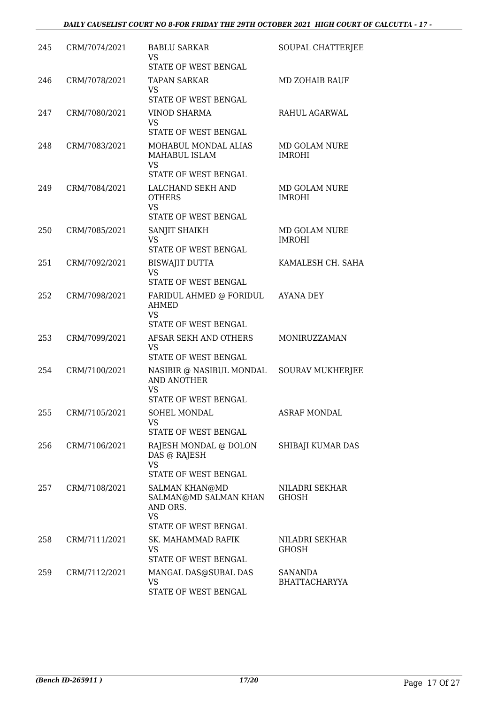| 245 | CRM/7074/2021 | <b>BABLU SARKAR</b><br><b>VS</b><br>STATE OF WEST BENGAL                                        | SOUPAL CHATTERJEE                     |
|-----|---------------|-------------------------------------------------------------------------------------------------|---------------------------------------|
| 246 | CRM/7078/2021 | <b>TAPAN SARKAR</b><br>VS<br>STATE OF WEST BENGAL                                               | <b>MD ZOHAIB RAUF</b>                 |
| 247 | CRM/7080/2021 | <b>VINOD SHARMA</b><br><b>VS</b><br>STATE OF WEST BENGAL                                        | RAHUL AGARWAL                         |
| 248 | CRM/7083/2021 | MOHABUL MONDAL ALIAS<br>MAHABUL ISLAM<br><b>VS</b>                                              | MD GOLAM NURE<br><b>IMROHI</b>        |
| 249 | CRM/7084/2021 | STATE OF WEST BENGAL<br>LALCHAND SEKH AND<br><b>OTHERS</b><br><b>VS</b><br>STATE OF WEST BENGAL | MD GOLAM NURE<br><b>IMROHI</b>        |
| 250 | CRM/7085/2021 | SANJIT SHAIKH<br>VS<br>STATE OF WEST BENGAL                                                     | <b>MD GOLAM NURE</b><br><b>IMROHI</b> |
| 251 | CRM/7092/2021 | <b>BISWAJIT DUTTA</b><br><b>VS</b><br><b>STATE OF WEST BENGAL</b>                               | KAMALESH CH. SAHA                     |
| 252 | CRM/7098/2021 | FARIDUL AHMED @ FORIDUL<br>AHMED<br><b>VS</b><br>STATE OF WEST BENGAL                           | <b>AYANA DEY</b>                      |
| 253 | CRM/7099/2021 | AFSAR SEKH AND OTHERS<br>VS<br>STATE OF WEST BENGAL                                             | MONIRUZZAMAN                          |
| 254 | CRM/7100/2021 | NASIBIR @ NASIBUL MONDAL SOURAV MUKHERJEE<br><b>AND ANOTHER</b><br>VS<br>STATE OF WEST BENGAL   |                                       |
| 255 | CRM/7105/2021 | SOHEL MONDAL<br>VS<br>STATE OF WEST BENGAL                                                      | <b>ASRAF MONDAL</b>                   |
| 256 | CRM/7106/2021 | RAJESH MONDAL @ DOLON<br>DAS @ RAJESH<br>VS<br>STATE OF WEST BENGAL                             | SHIBAJI KUMAR DAS                     |
| 257 | CRM/7108/2021 | <b>SALMAN KHAN@MD</b><br>SALMAN@MD SALMAN KHAN<br>AND ORS.<br><b>VS</b><br>STATE OF WEST BENGAL | NILADRI SEKHAR<br>GHOSH               |
| 258 | CRM/7111/2021 | SK. MAHAMMAD RAFIK<br>VS<br>STATE OF WEST BENGAL                                                | NILADRI SEKHAR<br><b>GHOSH</b>        |
| 259 | CRM/7112/2021 | MANGAL DAS@SUBAL DAS<br>VS<br>STATE OF WEST BENGAL                                              | SANANDA<br><b>BHATTACHARYYA</b>       |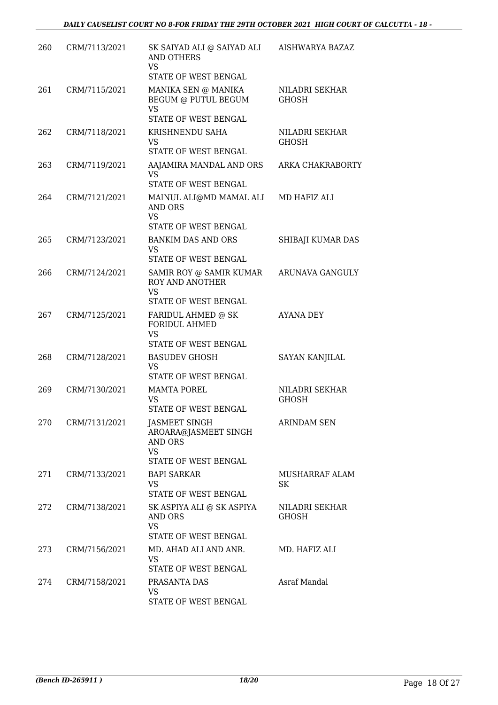| 260 | CRM/7113/2021 | SK SAIYAD ALI @ SAIYAD ALI<br><b>AND OTHERS</b><br><b>VS</b><br>STATE OF WEST BENGAL | <b>AISHWARYA BAZAZ</b>         |
|-----|---------------|--------------------------------------------------------------------------------------|--------------------------------|
| 261 | CRM/7115/2021 | MANIKA SEN @ MANIKA<br><b>BEGUM @ PUTUL BEGUM</b><br><b>VS</b>                       | NILADRI SEKHAR<br><b>GHOSH</b> |
|     |               | STATE OF WEST BENGAL                                                                 |                                |
| 262 | CRM/7118/2021 | KRISHNENDU SAHA<br>VS<br>STATE OF WEST BENGAL                                        | <b>NILADRI SEKHAR</b><br>GHOSH |
| 263 | CRM/7119/2021 | AAJAMIRA MANDAL AND ORS<br><b>VS</b><br>STATE OF WEST BENGAL                         | ARKA CHAKRABORTY               |
| 264 | CRM/7121/2021 | MAINUL ALI@MD MAMAL ALI<br><b>AND ORS</b><br><b>VS</b>                               | MD HAFIZ ALI                   |
|     |               | STATE OF WEST BENGAL                                                                 |                                |
| 265 | CRM/7123/2021 | <b>BANKIM DAS AND ORS</b><br><b>VS</b><br>STATE OF WEST BENGAL                       | SHIBAJI KUMAR DAS              |
| 266 | CRM/7124/2021 | SAMIR ROY @ SAMIR KUMAR                                                              | ARUNAVA GANGULY                |
|     |               | <b>ROY AND ANOTHER</b><br><b>VS</b><br>STATE OF WEST BENGAL                          |                                |
| 267 | CRM/7125/2021 | FARIDUL AHMED @ SK<br><b>FORIDUL AHMED</b><br><b>VS</b>                              | <b>AYANA DEY</b>               |
|     |               | STATE OF WEST BENGAL                                                                 |                                |
| 268 | CRM/7128/2021 | <b>BASUDEV GHOSH</b><br>VS<br>STATE OF WEST BENGAL                                   | <b>SAYAN KANJILAL</b>          |
| 269 | CRM/7130/2021 | <b>MAMTA POREL</b><br>VS.<br>STATE OF WEST BENGAL                                    | NILADRI SEKHAR<br>GHOSH        |
| 270 | CRM/7131/2021 | <b>JASMEET SINGH</b><br>AROARA@JASMEET SINGH<br><b>AND ORS</b><br><b>VS</b>          | <b>ARINDAM SEN</b>             |
|     |               | STATE OF WEST BENGAL                                                                 |                                |
| 271 | CRM/7133/2021 | <b>BAPI SARKAR</b><br>VS.<br>STATE OF WEST BENGAL                                    | MUSHARRAF ALAM<br>SK           |
| 272 | CRM/7138/2021 | SK ASPIYA ALI @ SK ASPIYA<br>AND ORS<br><b>VS</b><br>STATE OF WEST BENGAL            | NILADRI SEKHAR<br>GHOSH        |
| 273 | CRM/7156/2021 | MD. AHAD ALI AND ANR.<br>VS.<br>STATE OF WEST BENGAL                                 | MD. HAFIZ ALI                  |
| 274 | CRM/7158/2021 | PRASANTA DAS<br>VS<br>STATE OF WEST BENGAL                                           | Asraf Mandal                   |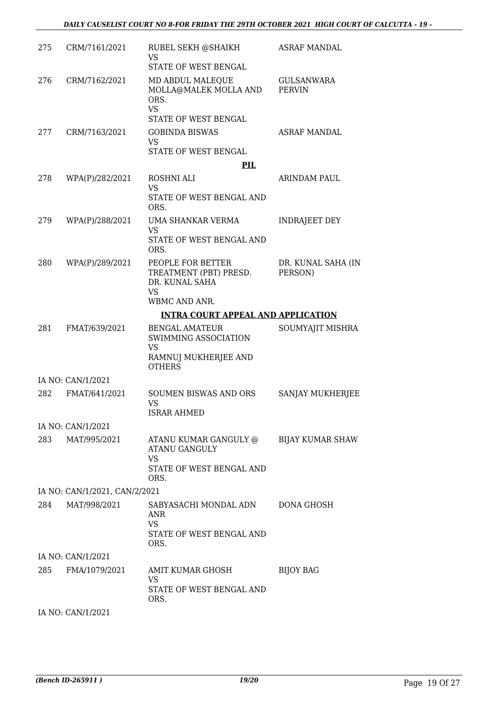| 275 | CRM/7161/2021                 | RUBEL SEKH @SHAIKH<br><b>VS</b><br>STATE OF WEST BENGAL                                              | ASRAF MANDAL                  |
|-----|-------------------------------|------------------------------------------------------------------------------------------------------|-------------------------------|
| 276 | CRM/7162/2021                 | MD ABDUL MALEQUE<br>MOLLA@MALEK MOLLA AND<br>ORS.<br><b>VS</b>                                       | GULSANWARA<br><b>PERVIN</b>   |
|     |                               | STATE OF WEST BENGAL                                                                                 |                               |
| 277 | CRM/7163/2021                 | <b>GOBINDA BISWAS</b><br><b>VS</b>                                                                   | <b>ASRAF MANDAL</b>           |
|     |                               | STATE OF WEST BENGAL                                                                                 |                               |
|     |                               | PIL                                                                                                  |                               |
| 278 | WPA(P)/282/2021               | ROSHNI ALI<br>VS.<br>STATE OF WEST BENGAL AND<br>ORS.                                                | ARINDAM PAUL                  |
| 279 | WPA(P)/288/2021               | UMA SHANKAR VERMA<br>VS                                                                              | <b>INDRAJEET DEY</b>          |
|     |                               | STATE OF WEST BENGAL AND<br>ORS.                                                                     |                               |
| 280 | WPA(P)/289/2021               | PEOPLE FOR BETTER<br>TREATMENT (PBT) PRESD.<br>DR. KUNAL SAHA<br><b>VS</b>                           | DR. KUNAL SAHA (IN<br>PERSON) |
|     |                               | WBMC AND ANR.                                                                                        |                               |
|     |                               | <b>INTRA COURT APPEAL AND APPLICATION</b>                                                            |                               |
| 281 | FMAT/639/2021                 | <b>BENGAL AMATEUR</b><br><b>SWIMMING ASSOCIATION</b><br>VS.<br>RAMNUJ MUKHERJEE AND<br><b>OTHERS</b> | SOUMYAJIT MISHRA              |
|     | IA NO: CAN/1/2021             |                                                                                                      |                               |
| 282 | FMAT/641/2021                 | <b>SOUMEN BISWAS AND ORS</b><br><b>VS</b><br>ISRAR AHMED                                             | SANJAY MUKHERJEE              |
|     | IA NO: CAN/1/2021             |                                                                                                      |                               |
| 283 | MAT/995/2021                  | ATANU KUMAR GANGULY @<br><b>ATANU GANGULY</b><br>VS.                                                 | BIJAY KUMAR SHAW              |
|     |                               | STATE OF WEST BENGAL AND<br>ORS.                                                                     |                               |
|     | IA NO: CAN/1/2021, CAN/2/2021 |                                                                                                      |                               |
| 284 | MAT/998/2021                  | SABYASACHI MONDAL ADN<br><b>ANR</b><br><b>VS</b><br>STATE OF WEST BENGAL AND<br>ORS.                 | DONA GHOSH                    |
|     | IA NO: CAN/1/2021             |                                                                                                      |                               |
| 285 | FMA/1079/2021                 | AMIT KUMAR GHOSH<br>VS.<br>STATE OF WEST BENGAL AND<br>ORS.                                          | <b>BIJOY BAG</b>              |
|     | IA NO: CAN/1/2021             |                                                                                                      |                               |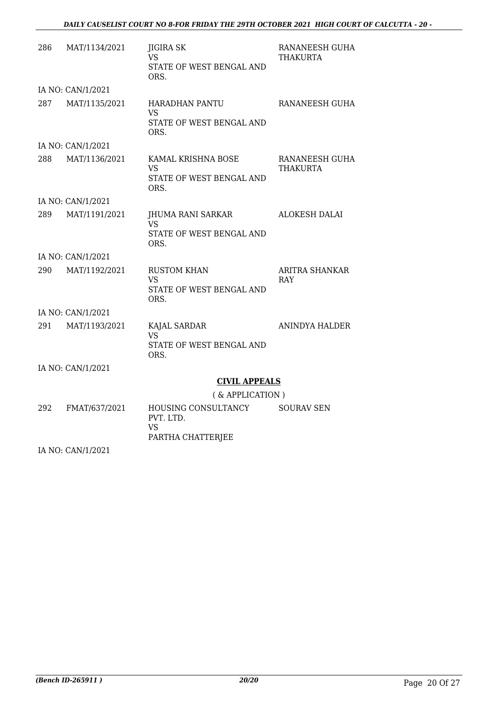### *DAILY CAUSELIST COURT NO 8-FOR FRIDAY THE 29TH OCTOBER 2021 HIGH COURT OF CALCUTTA - 20 -*

| 286 | MAT/1134/2021     | JIGIRA SK<br>VS.<br>STATE OF WEST BENGAL AND<br>ORS.                   | RANANEESH GUHA<br>THAKURTA          |
|-----|-------------------|------------------------------------------------------------------------|-------------------------------------|
|     | IA NO: CAN/1/2021 |                                                                        |                                     |
| 287 | MAT/1135/2021     | <b>HARADHAN PANTU</b><br><b>VS</b><br>STATE OF WEST BENGAL AND<br>ORS. | RANANEESH GUHA                      |
|     | IA NO: CAN/1/2021 |                                                                        |                                     |
| 288 | MAT/1136/2021     | KAMAL KRISHNA BOSE<br>VS<br>STATE OF WEST BENGAL AND<br>ORS.           | RANANEESH GUHA<br>THAKURTA          |
|     | IA NO: CAN/1/2021 |                                                                        |                                     |
| 289 | MAT/1191/2021     | JHUMA RANI SARKAR<br>VS.<br>STATE OF WEST BENGAL AND<br>ORS.           | <b>ALOKESH DALAI</b>                |
|     | IA NO: CAN/1/2021 |                                                                        |                                     |
| 290 | MAT/1192/2021     | <b>RUSTOM KHAN</b><br><b>VS</b><br>STATE OF WEST BENGAL AND<br>ORS.    | <b>ARITRA SHANKAR</b><br><b>RAY</b> |
|     | IA NO: CAN/1/2021 |                                                                        |                                     |
| 291 | MAT/1193/2021     | KAJAL SARDAR<br><b>VS</b><br>STATE OF WEST BENGAL AND<br>ORS.          | ANINDYA HALDER                      |
|     | IA NO: CAN/1/2021 |                                                                        |                                     |
|     |                   | <b>CIVIL APPEALS</b>                                                   |                                     |
|     |                   | (& APPLICATION)                                                        |                                     |
| 292 | FMAT/637/2021     | HOUSING CONSULTANCY<br>PVT. LTD.<br>VS<br>PARTHA CHATTERJEE            | <b>SOURAV SEN</b>                   |

IA NO: CAN/1/2021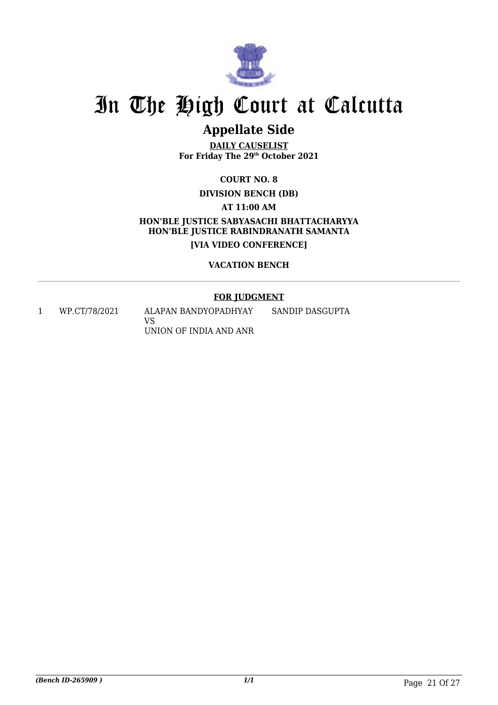

# **Appellate Side**

**DAILY CAUSELIST For Friday The 29th October 2021**

**COURT NO. 8**

**DIVISION BENCH (DB)**

**AT 11:00 AM**

**HON'BLE JUSTICE SABYASACHI BHATTACHARYYA HON'BLE JUSTICE RABINDRANATH SAMANTA [VIA VIDEO CONFERENCE]**

## **VACATION BENCH**

# **FOR JUDGMENT**

1 WP.CT/78/2021 ALAPAN BANDYOPADHYAY VS UNION OF INDIA AND ANR SANDIP DASGUPTA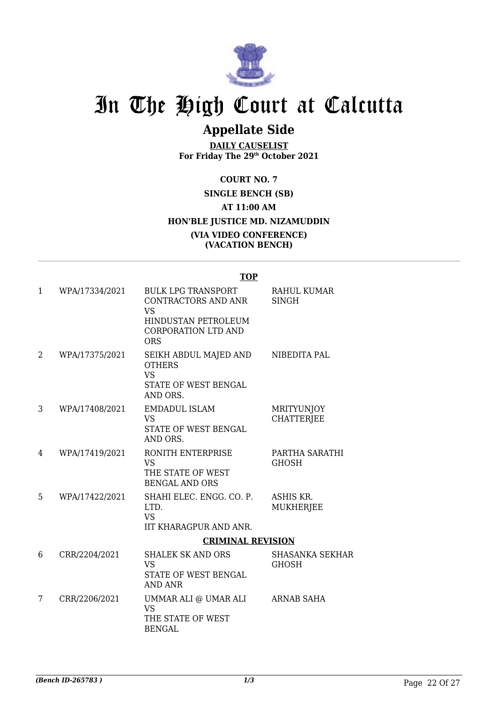

# **Appellate Side**

**DAILY CAUSELIST For Friday The 29th October 2021**

**COURT NO. 7 SINGLE BENCH (SB) AT 11:00 AM HON'BLE JUSTICE MD. NIZAMUDDIN (VIA VIDEO CONFERENCE) (VACATION BENCH)**

### **TOP**

| $\mathbf{1}$ | WPA/17334/2021 | <b>BULK LPG TRANSPORT</b><br>CONTRACTORS AND ANR<br><b>VS</b>                           | <b>RAHUL KUMAR</b><br><b>SINGH</b>     |
|--------------|----------------|-----------------------------------------------------------------------------------------|----------------------------------------|
|              |                | <b>HINDUSTAN PETROLEUM</b><br><b>CORPORATION LTD AND</b><br><b>ORS</b>                  |                                        |
| 2            | WPA/17375/2021 | SEIKH ABDUL MAJED AND<br><b>OTHERS</b><br><b>VS</b><br>STATE OF WEST BENGAL<br>AND ORS. | NIBEDITA PAL                           |
| 3            | WPA/17408/2021 | <b>EMDADUL ISLAM</b><br><b>VS</b><br>STATE OF WEST BENGAL<br>AND ORS.                   | <b>MRITYUNJOY</b><br><b>CHATTERJEE</b> |
| 4            | WPA/17419/2021 | RONITH ENTERPRISE<br><b>VS</b><br>THE STATE OF WEST<br><b>BENGAL AND ORS</b>            | PARTHA SARATHI<br><b>GHOSH</b>         |
| 5            | WPA/17422/2021 | SHAHI ELEC. ENGG. CO. P.<br>LTD.<br><b>VS</b><br><b>IIT KHARAGPUR AND ANR.</b>          | ASHIS KR.<br><b>MUKHERJEE</b>          |
|              |                | <b>CRIMINAL REVISION</b>                                                                |                                        |
| 6            | CRR/2204/2021  | <b>SHALEK SK AND ORS</b><br><b>VS</b><br>STATE OF WEST BENGAL<br><b>AND ANR</b>         | <b>SHASANKA SEKHAR</b><br><b>GHOSH</b> |
| 7            | CRR/2206/2021  | UMMAR ALI @ UMAR ALI<br><b>VS</b><br>THE STATE OF WEST<br><b>BENGAL</b>                 | ARNAB SAHA                             |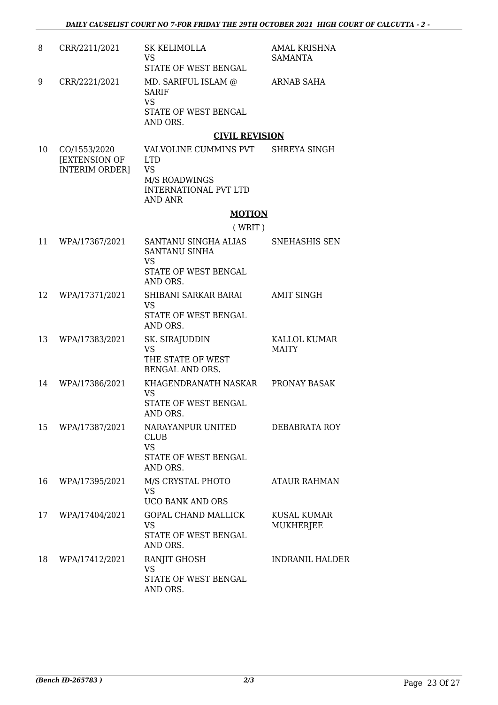| 8              | CRR/2211/2021 | SK KELIMOLLA<br>VS<br>STATE OF WEST BENGAL                                    | AMAL KRISHNA<br>SAMANTA |
|----------------|---------------|-------------------------------------------------------------------------------|-------------------------|
| 9              | CRR/2221/2021 | MD. SARIFUL ISLAM @<br><b>SARIF</b><br>VS<br>STATE OF WEST BENGAL<br>AND ORS. | ARNAB SAHA              |
|                |               | <b>CIVIL REVISION</b>                                                         |                         |
| 1 <sub>0</sub> | COMEED MOOD   | $UATUMI$ into chimining over                                                  | CUDEVA CINAU            |

10 CO/1553/2020 [EXTENSION OF INTERIM ORDER] VALVOLINE CUMMINS PVT LTD VS M/S ROADWINGS INTERNATIONAL PVT LTD AND ANR SHREYA SINGH

## **MOTION**

( WRIT )

| 11 | WPA/17367/2021 | SANTANU SINGHA ALIAS<br>SANTANU SINHA<br>VS.                                      | <b>SNEHASHIS SEN</b>                   |
|----|----------------|-----------------------------------------------------------------------------------|----------------------------------------|
|    |                | STATE OF WEST BENGAL<br>AND ORS.                                                  |                                        |
| 12 | WPA/17371/2021 | SHIBANI SARKAR BARAI<br><b>VS</b><br>STATE OF WEST BENGAL<br>AND ORS.             | <b>AMIT SINGH</b>                      |
| 13 | WPA/17383/2021 | SK. SIRAJUDDIN<br><b>VS</b><br>THE STATE OF WEST<br>BENGAL AND ORS.               | KALLOL KUMAR<br><b>MAITY</b>           |
| 14 | WPA/17386/2021 | KHAGENDRANATH NASKAR<br><b>VS</b><br>STATE OF WEST BENGAL<br>AND ORS.             | PRONAY BASAK                           |
| 15 | WPA/17387/2021 | NARAYANPUR UNITED<br><b>CLUB</b><br><b>VS</b><br>STATE OF WEST BENGAL<br>AND ORS. | DEBABRATA ROY                          |
| 16 | WPA/17395/2021 | M/S CRYSTAL PHOTO<br><b>VS</b><br><b>UCO BANK AND ORS</b>                         | <b>ATAUR RAHMAN</b>                    |
| 17 | WPA/17404/2021 | <b>GOPAL CHAND MALLICK</b><br><b>VS</b><br>STATE OF WEST BENGAL<br>AND ORS.       | <b>KUSAL KUMAR</b><br><b>MUKHERJEE</b> |
| 18 | WPA/17412/2021 | RANJIT GHOSH<br><b>VS</b><br><b>STATE OF WEST BENGAL</b><br>AND ORS.              | <b>INDRANIL HALDER</b>                 |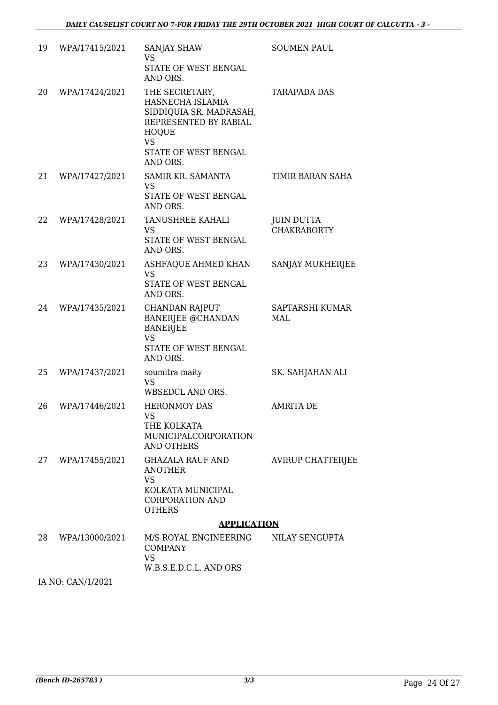| 19 | WPA/17415/2021 | <b>SANJAY SHAW</b><br>VS<br>STATE OF WEST BENGAL<br>AND ORS.                                                                                            | <b>SOUMEN PAUL</b>                      |  |
|----|----------------|---------------------------------------------------------------------------------------------------------------------------------------------------------|-----------------------------------------|--|
| 20 | WPA/17424/2021 | THE SECRETARY,<br>HASNECHA ISLAMIA<br>SIDDIQUIA SR. MADRASAH,<br>REPRESENTED BY RABIAL<br><b>HOQUE</b><br><b>VS</b><br>STATE OF WEST BENGAL<br>AND ORS. | <b>TARAPADA DAS</b>                     |  |
| 21 | WPA/17427/2021 | SAMIR KR. SAMANTA<br><b>VS</b><br>STATE OF WEST BENGAL<br>AND ORS.                                                                                      | TIMIR BARAN SAHA                        |  |
| 22 | WPA/17428/2021 | TANUSHREE KAHALI<br><b>VS</b><br>STATE OF WEST BENGAL<br>AND ORS.                                                                                       | <b>JUIN DUTTA</b><br><b>CHAKRABORTY</b> |  |
| 23 | WPA/17430/2021 | ASHFAQUE AHMED KHAN<br><b>VS</b><br>STATE OF WEST BENGAL<br>AND ORS.                                                                                    | <b>SANJAY MUKHERJEE</b>                 |  |
| 24 | WPA/17435/2021 | <b>CHANDAN RAJPUT</b><br><b>BANERJEE @CHANDAN</b><br><b>BANERJEE</b><br><b>VS</b><br>STATE OF WEST BENGAL<br>AND ORS.                                   | SAPTARSHI KUMAR<br>MAL                  |  |
| 25 | WPA/17437/2021 | soumitra maity<br><b>VS</b><br>WBSEDCL AND ORS.                                                                                                         | SK. SAHJAHAN ALI                        |  |
| 26 | WPA/17446/2021 | <b>HERONMOY DAS</b><br><b>VS</b><br>THE KOLKATA<br>MUNICIPALCORPORATION<br><b>AND OTHERS</b>                                                            | AMRITA DE                               |  |
| 27 | WPA/17455/2021 | GHAZALA RAUF AND<br><b>ANOTHER</b><br><b>VS</b><br>KOLKATA MUNICIPAL<br><b>CORPORATION AND</b><br><b>OTHERS</b>                                         | <b>AVIRUP CHATTERJEE</b>                |  |
|    |                | <b>APPLICATION</b>                                                                                                                                      |                                         |  |
| 28 | WPA/13000/2021 | M/S ROYAL ENGINEERING<br><b>COMPANY</b><br><b>VS</b><br>W.B.S.E.D.C.L. AND ORS                                                                          | NILAY SENGUPTA                          |  |

IA NO: CAN/1/2021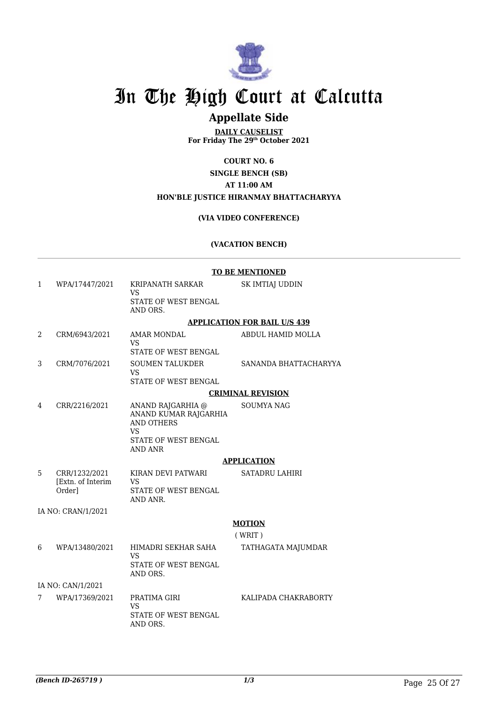

# **Appellate Side**

**DAILY CAUSELIST For Friday The 29th October 2021**

## **COURT NO. 6**

**SINGLE BENCH (SB)**

### **AT 11:00 AM**

#### **HON'BLE JUSTICE HIRANMAY BHATTACHARYYA**

### **(VIA VIDEO CONFERENCE)**

### **(VACATION BENCH)**

|   |                                              | <b>TO BE MENTIONED</b>                                                       |                          |  |
|---|----------------------------------------------|------------------------------------------------------------------------------|--------------------------|--|
| 1 | WPA/17447/2021                               | KRIPANATH SARKAR<br>VS                                                       | SK IMTIAJ UDDIN          |  |
|   |                                              | STATE OF WEST BENGAL<br>AND ORS.                                             |                          |  |
|   |                                              | <b>APPLICATION FOR BAIL U/S 439</b>                                          |                          |  |
| 2 | CRM/6943/2021                                | AMAR MONDAL<br>VS<br><b>STATE OF WEST BENGAL</b>                             | ABDUL HAMID MOLLA        |  |
| 3 | CRM/7076/2021                                | <b>SOUMEN TALUKDER</b><br>VS<br>STATE OF WEST BENGAL                         | SANANDA BHATTACHARYYA    |  |
|   |                                              |                                                                              | <b>CRIMINAL REVISION</b> |  |
| 4 | CRR/2216/2021                                | ANAND RAJGARHIA @<br>ANAND KUMAR RAJGARHIA<br><b>AND OTHERS</b><br><b>VS</b> | <b>SOUMYA NAG</b>        |  |
|   |                                              | STATE OF WEST BENGAL<br>AND ANR                                              |                          |  |
|   |                                              | <b>APPLICATION</b>                                                           |                          |  |
| 5 | CRR/1232/2021<br>[Extn. of Interim<br>Orderl | KIRAN DEVI PATWARI<br><b>VS</b><br><b>STATE OF WEST BENGAL</b><br>AND ANR.   | <b>SATADRU LAHIRI</b>    |  |
|   | IA NO: CRAN/1/2021                           |                                                                              |                          |  |
|   |                                              |                                                                              | <b>MOTION</b><br>(WRIT)  |  |
| 6 | WPA/13480/2021                               | HIMADRI SEKHAR SAHA<br><b>VS</b><br>STATE OF WEST BENGAL<br>AND ORS.         | TATHAGATA MAJUMDAR       |  |
|   | IA NO: CAN/1/2021                            |                                                                              |                          |  |
| 7 | WPA/17369/2021                               | PRATIMA GIRI<br>VS<br>STATE OF WEST BENGAL<br>AND ORS.                       | KALIPADA CHAKRABORTY     |  |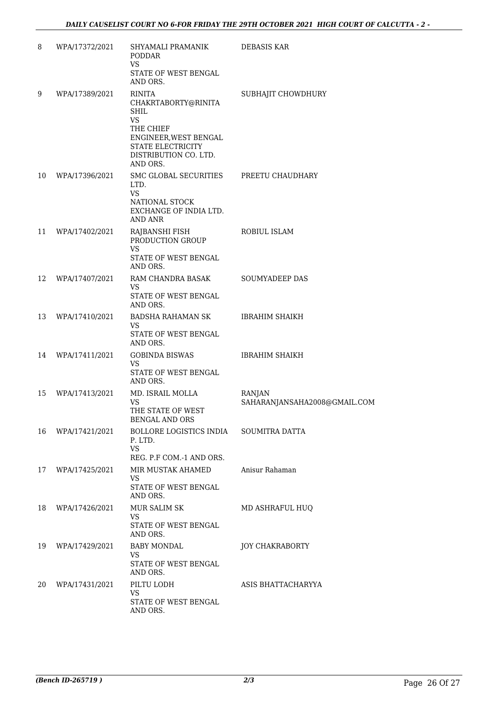| 8  | WPA/17372/2021 | SHYAMALI PRAMANIK<br><b>PODDAR</b><br><b>VS</b><br>STATE OF WEST BENGAL                                                                                               | <b>DEBASIS KAR</b>                            |
|----|----------------|-----------------------------------------------------------------------------------------------------------------------------------------------------------------------|-----------------------------------------------|
| 9  | WPA/17389/2021 | AND ORS.<br><b>RINITA</b><br>CHAKRTABORTY@RINITA<br>SHIL<br><b>VS</b><br>THE CHIEF<br>ENGINEER, WEST BENGAL<br>STATE ELECTRICITY<br>DISTRIBUTION CO. LTD.<br>AND ORS. | SUBHAJIT CHOWDHURY                            |
| 10 | WPA/17396/2021 | SMC GLOBAL SECURITIES<br>LTD.<br>VS<br>NATIONAL STOCK<br>EXCHANGE OF INDIA LTD.<br>AND ANR                                                                            | PREETU CHAUDHARY                              |
| 11 | WPA/17402/2021 | RAJBANSHI FISH<br>PRODUCTION GROUP<br>VS<br>STATE OF WEST BENGAL<br>AND ORS.                                                                                          | ROBIUL ISLAM                                  |
| 12 | WPA/17407/2021 | RAM CHANDRA BASAK<br>VS<br>STATE OF WEST BENGAL<br>AND ORS.                                                                                                           | <b>SOUMYADEEP DAS</b>                         |
| 13 | WPA/17410/2021 | BADSHA RAHAMAN SK<br>VS.<br>STATE OF WEST BENGAL<br>AND ORS.                                                                                                          | <b>IBRAHIM SHAIKH</b>                         |
| 14 | WPA/17411/2021 | GOBINDA BISWAS<br>VS<br>STATE OF WEST BENGAL<br>AND ORS.                                                                                                              | <b>IBRAHIM SHAIKH</b>                         |
| 15 | WPA/17413/2021 | MD. ISRAIL MOLLA<br>VS<br>THE STATE OF WEST<br><b>BENGAL AND ORS</b>                                                                                                  | <b>RANJAN</b><br>SAHARANJANSAHA2008@GMAIL.COM |
| 16 | WPA/17421/2021 | BOLLORE LOGISTICS INDIA<br>P. LTD.<br><b>VS</b><br>REG. P.F COM.-1 AND ORS.                                                                                           | <b>SOUMITRA DATTA</b>                         |
| 17 | WPA/17425/2021 | MIR MUSTAK AHAMED<br>VS<br>STATE OF WEST BENGAL<br>AND ORS.                                                                                                           | Anisur Rahaman                                |
| 18 | WPA/17426/2021 | MUR SALIM SK<br>VS<br>STATE OF WEST BENGAL<br>AND ORS.                                                                                                                | MD ASHRAFUL HUO                               |
| 19 | WPA/17429/2021 | BABY MONDAL<br>VS<br>STATE OF WEST BENGAL<br>AND ORS.                                                                                                                 | <b>JOY CHAKRABORTY</b>                        |
| 20 | WPA/17431/2021 | PILTU LODH<br>VS.<br>STATE OF WEST BENGAL<br>AND ORS.                                                                                                                 | ASIS BHATTACHARYYA                            |